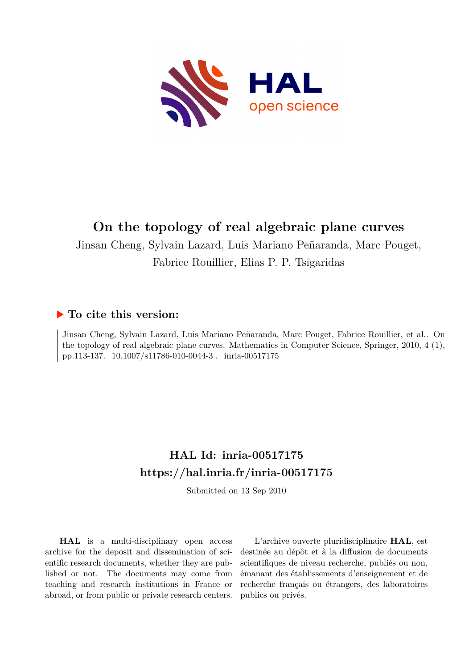

# **On the topology of real algebraic plane curves**

Jinsan Cheng, Sylvain Lazard, Luis Mariano Peñaranda, Marc Pouget, Fabrice Rouillier, Elias P. P. Tsigaridas

# **To cite this version:**

Jinsan Cheng, Sylvain Lazard, Luis Mariano Peñaranda, Marc Pouget, Fabrice Rouillier, et al.. On the topology of real algebraic plane curves. Mathematics in Computer Science, Springer, 2010, 4 (1), pp.113-137. 10.1007/s11786-010-0044-3. inria-00517175

# **HAL Id: inria-00517175 <https://hal.inria.fr/inria-00517175>**

Submitted on 13 Sep 2010

**HAL** is a multi-disciplinary open access archive for the deposit and dissemination of scientific research documents, whether they are published or not. The documents may come from teaching and research institutions in France or abroad, or from public or private research centers.

L'archive ouverte pluridisciplinaire **HAL**, est destinée au dépôt et à la diffusion de documents scientifiques de niveau recherche, publiés ou non, émanant des établissements d'enseignement et de recherche français ou étrangers, des laboratoires publics ou privés.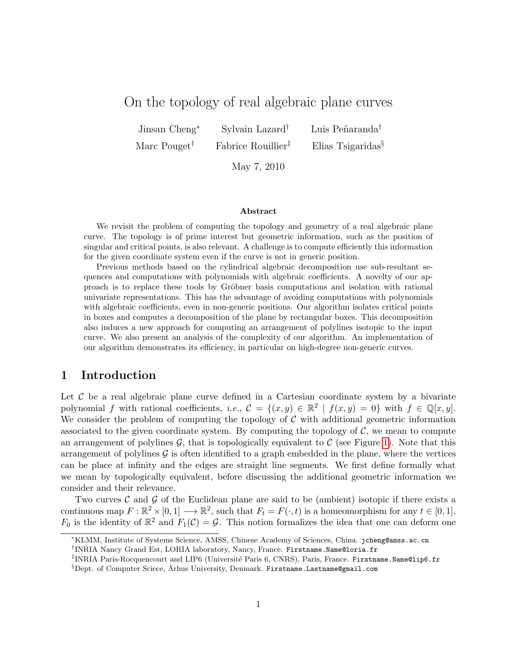# On the topology of real algebraic plane curves

Jinsan Cheng<sup>∗</sup> Sylvain Lazard<sup>†</sup> Luis Peñaranda<sup>†</sup>

Marc Pouget<sup>†</sup> Fabrice Rouillier<sup>‡</sup> Elias Tsigaridas<sup>§</sup>

May 7, 2010

#### Abstract

We revisit the problem of computing the topology and geometry of a real algebraic plane curve. The topology is of prime interest but geometric information, such as the position of singular and critical points, is also relevant. A challenge is to compute efficiently this information for the given coordinate system even if the curve is not in generic position.

Previous methods based on the cylindrical algebraic decomposition use sub-resultant sequences and computations with polynomials with algebraic coefficients. A novelty of our approach is to replace these tools by Gröbner basis computations and isolation with rational univariate representations. This has the advantage of avoiding computations with polynomials with algebraic coefficients, even in non-generic positions. Our algorithm isolates critical points in boxes and computes a decomposition of the plane by rectangular boxes. This decomposition also induces a new approach for computing an arrangement of polylines isotopic to the input curve. We also present an analysis of the complexity of our algorithm. An implementation of our algorithm demonstrates its efficiency, in particular on high-degree non-generic curves.

# <span id="page-1-0"></span>1 Introduction

Let  $\mathcal C$  be a real algebraic plane curve defined in a Cartesian coordinate system by a bivariate polynomial f with rational coefficients, i.e.,  $\mathcal{C} = \{(x, y) \in \mathbb{R}^2 \mid f(x, y) = 0\}$  with  $f \in \mathbb{Q}[x, y]$ . We consider the problem of computing the topology of  $C$  with additional geometric information associated to the given coordinate system. By computing the topology of  $C$ , we mean to compute an arrangement of polylines  $\mathcal{G}$ , that is topologically equivalent to  $\mathcal{C}$  (see Figure [1\)](#page-2-0). Note that this arrangement of polylines  $\mathcal G$  is often identified to a graph embedded in the plane, where the vertices can be place at infinity and the edges are straight line segments. We first define formally what we mean by topologically equivalent, before discussing the additional geometric information we consider and their relevance.

Two curves  $\mathcal C$  and  $\mathcal G$  of the Euclidean plane are said to be (ambient) isotopic if there exists a continuous map  $F: \mathbb{R}^2 \times [0, 1] \longrightarrow \mathbb{R}^2$ , such that  $F_t = F(\cdot, t)$  is a homeomorphism for any  $t \in [0, 1]$ ,  $F_0$  is the identity of  $\mathbb{R}^2$  and  $F_1(\mathcal{C}) = \mathcal{G}$ . This notion formalizes the idea that one can deform one

<sup>∗</sup>KLMM, Institute of Systems Science, AMSS, Chinese Academy of Sciences, China. jcheng@amss.ac.cn

<sup>†</sup> INRIA Nancy Grand Est, LORIA laboratory, Nancy, France. Firstname.Name@loria.fr

 $^{\ddagger}$ INRIA Paris-Rocquencourt and LIP6 (Université Paris 6, CNRS), Paris, France. Firstname.Name@lip6.fr

<sup>&</sup>lt;sup>§</sup>Dept. of Computer Sciece, Arhus University, Denmark. Firstname.Lastname@gmail.com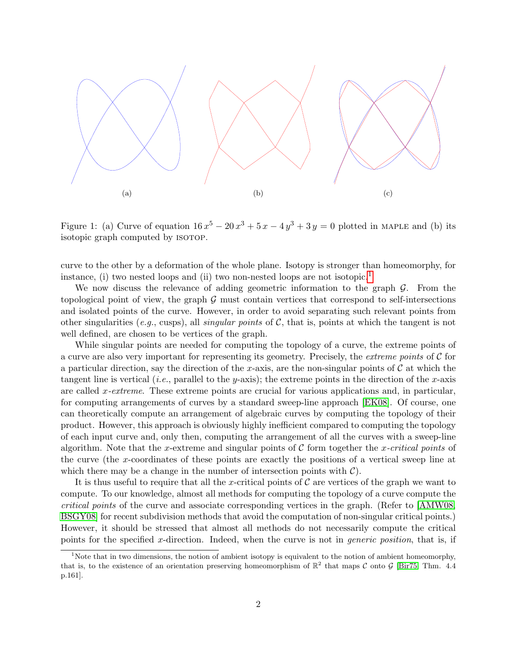

<span id="page-2-0"></span>Figure 1: (a) Curve of equation  $16x^5 - 20x^3 + 5x - 4y^3 + 3y = 0$  plotted in MAPLE and (b) its isotopic graph computed by isotop.

curve to the other by a deformation of the whole plane. Isotopy is stronger than homeomorphy, for instance, (i) two nested loops and (ii) two non-nested loops are not isotopic.<sup>[1](#page-2-1)</sup>

We now discuss the relevance of adding geometric information to the graph  $\mathcal{G}$ . From the topological point of view, the graph  $G$  must contain vertices that correspond to self-intersections and isolated points of the curve. However, in order to avoid separating such relevant points from other singularities (e.g., cusps), all *singular points* of  $\mathcal{C}$ , that is, points at which the tangent is not well defined, are chosen to be vertices of the graph.

While singular points are needed for computing the topology of a curve, the extreme points of a curve are also very important for representing its geometry. Precisely, the *extreme points* of  $C$  for a particular direction, say the direction of the x-axis, are the non-singular points of  $\mathcal C$  at which the tangent line is vertical (*i.e.*, parallel to the y-axis); the extreme points in the direction of the x-axis are called x-extreme. These extreme points are crucial for various applications and, in particular, for computing arrangements of curves by a standard sweep-line approach [\[EK08\]](#page-30-0). Of course, one can theoretically compute an arrangement of algebraic curves by computing the topology of their product. However, this approach is obviously highly inefficient compared to computing the topology of each input curve and, only then, computing the arrangement of all the curves with a sweep-line algorithm. Note that the x-extreme and singular points of  $C$  form together the x-critical points of the curve (the x-coordinates of these points are exactly the positions of a vertical sweep line at which there may be a change in the number of intersection points with  $\mathcal{C}$ ).

It is thus useful to require that all the x-critical points of  $\mathcal C$  are vertices of the graph we want to compute. To our knowledge, almost all methods for computing the topology of a curve compute the critical points of the curve and associate corresponding vertices in the graph. (Refer to [\[AMW08,](#page-29-0) [BSGY08\]](#page-29-1) for recent subdivision methods that avoid the computation of non-singular critical points.) However, it should be stressed that almost all methods do not necessarily compute the critical points for the specified x-direction. Indeed, when the curve is not in *generic position*, that is, if

<span id="page-2-1"></span><sup>&</sup>lt;sup>1</sup>Note that in two dimensions, the notion of ambient isotopy is equivalent to the notion of ambient homeomorphy, that is, to the existence of an orientation preserving homeomorphism of  $\mathbb{R}^2$  that maps C onto G [\[Bir75,](#page-29-2) Thm. 4.4 p.161].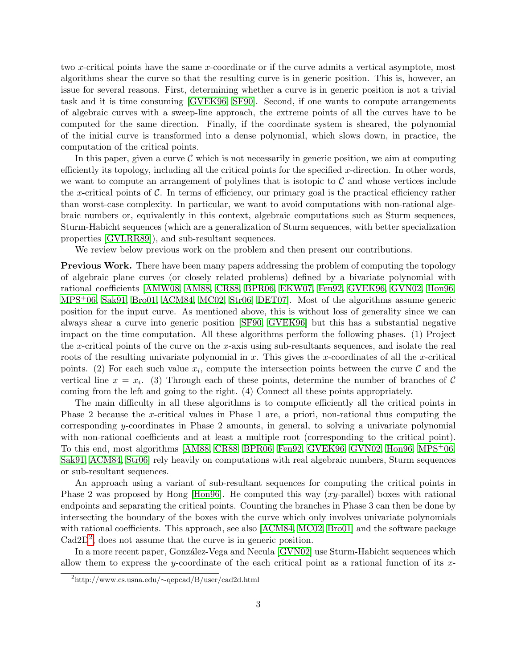two x-critical points have the same x-coordinate or if the curve admits a vertical asymptote, most algorithms shear the curve so that the resulting curve is in generic position. This is, however, an issue for several reasons. First, determining whether a curve is in generic position is not a trivial task and it is time consuming [\[GVEK96,](#page-31-0) [SF90\]](#page-32-0). Second, if one wants to compute arrangements of algebraic curves with a sweep-line approach, the extreme points of all the curves have to be computed for the same direction. Finally, if the coordinate system is sheared, the polynomial of the initial curve is transformed into a dense polynomial, which slows down, in practice, the computation of the critical points.

In this paper, given a curve  $\mathcal C$  which is not necessarily in generic position, we aim at computing efficiently its topology, including all the critical points for the specified  $x$ -direction. In other words, we want to compute an arrangement of polylines that is isotopic to  $\mathcal C$  and whose vertices include the x-critical points of  $\mathcal C$ . In terms of efficiency, our primary goal is the practical efficiency rather than worst-case complexity. In particular, we want to avoid computations with non-rational algebraic numbers or, equivalently in this context, algebraic computations such as Sturm sequences, Sturm-Habicht sequences (which are a generalization of Sturm sequences, with better specialization properties [\[GVLRR89\]](#page-31-1)), and sub-resultant sequences.

We review below previous work on the problem and then present our contributions.

Previous Work. There have been many papers addressing the problem of computing the topology of algebraic plane curves (or closely related problems) defined by a bivariate polynomial with rational coefficients [\[AMW08,](#page-29-0) [AM88,](#page-29-3) [CR88,](#page-30-1) [BPR06,](#page-29-4) [EKW07,](#page-30-2) [Fen92,](#page-30-3) [GVEK96,](#page-31-0) [GVN02,](#page-31-2) [Hon96,](#page-31-3) [MPS](#page-31-4)+06, [Sak91,](#page-32-1) [Bro01,](#page-29-5) [ACM84,](#page-29-6) [MC02,](#page-31-5) [Str06,](#page-32-2) [DET07\]](#page-30-4). Most of the algorithms assume generic position for the input curve. As mentioned above, this is without loss of generality since we can always shear a curve into generic position [\[SF90,](#page-32-0) [GVEK96\]](#page-31-0) but this has a substantial negative impact on the time computation. All these algorithms perform the following phases. (1) Project the x-critical points of the curve on the x-axis using sub-resultants sequences, and isolate the real roots of the resulting univariate polynomial in  $x$ . This gives the x-coordinates of all the x-critical points. (2) For each such value  $x_i$ , compute the intersection points between the curve  $\mathcal C$  and the vertical line  $x = x_i$ . (3) Through each of these points, determine the number of branches of C coming from the left and going to the right. (4) Connect all these points appropriately.

The main difficulty in all these algorithms is to compute efficiently all the critical points in Phase 2 because the x-critical values in Phase 1 are, a priori, non-rational thus computing the corresponding y-coordinates in Phase 2 amounts, in general, to solving a univariate polynomial with non-rational coefficients and at least a multiple root (corresponding to the critical point). To this end, most algorithms [\[AM88,](#page-29-3) [CR88,](#page-30-1) [BPR06,](#page-29-4) [Fen92,](#page-30-3) [GVEK96,](#page-31-0) [GVN02,](#page-31-2) [Hon96,](#page-31-3) [MPS](#page-31-4)+06, [Sak91,](#page-32-1) [ACM84,](#page-29-6) [Str06\]](#page-32-2) rely heavily on computations with real algebraic numbers, Sturm sequences or sub-resultant sequences.

An approach using a variant of sub-resultant sequences for computing the critical points in Phase 2 was proposed by Hong [\[Hon96\]](#page-31-3). He computed this way (xy-parallel) boxes with rational endpoints and separating the critical points. Counting the branches in Phase 3 can then be done by intersecting the boundary of the boxes with the curve which only involves univariate polynomials with rational coefficients. This approach, see also [\[ACM84,](#page-29-6) [MC02,](#page-31-5) [Bro01\]](#page-29-5) and the software package  $\text{Cad2D}^2$  $\text{Cad2D}^2$  $\text{Cad2D}^2$ , does not assume that the curve is in generic position.

In a more recent paper, González-Vega and Necula [\[GVN02\]](#page-31-2) use Sturm-Habicht sequences which allow them to express the y-coordinate of the each critical point as a rational function of its x-

<span id="page-3-0"></span><sup>2</sup>http://www.cs.usna.edu/∼qepcad/B/user/cad2d.html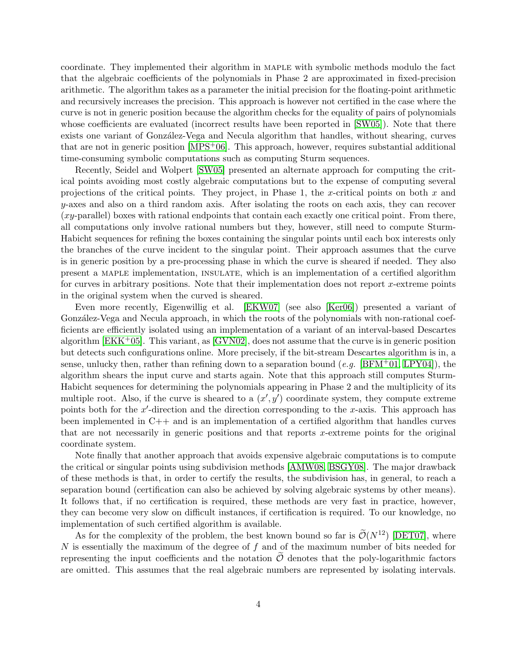coordinate. They implemented their algorithm in maple with symbolic methods modulo the fact that the algebraic coefficients of the polynomials in Phase 2 are approximated in fixed-precision arithmetic. The algorithm takes as a parameter the initial precision for the floating-point arithmetic and recursively increases the precision. This approach is however not certified in the case where the curve is not in generic position because the algorithm checks for the equality of pairs of polynomials whose coefficients are evaluated (incorrect results have been reported in [\[SW05\]](#page-32-3)). Note that there exists one variant of González-Vega and Necula algorithm that handles, without shearing, curves that are not in generic position  $[MPS<sup>+</sup>06]$ . This approach, however, requires substantial additional time-consuming symbolic computations such as computing Sturm sequences.

Recently, Seidel and Wolpert [\[SW05\]](#page-32-3) presented an alternate approach for computing the critical points avoiding most costly algebraic computations but to the expense of computing several projections of the critical points. They project, in Phase 1, the x-critical points on both  $x$  and y-axes and also on a third random axis. After isolating the roots on each axis, they can recover (xy-parallel) boxes with rational endpoints that contain each exactly one critical point. From there, all computations only involve rational numbers but they, however, still need to compute Sturm-Habicht sequences for refining the boxes containing the singular points until each box interests only the branches of the curve incident to the singular point. Their approach assumes that the curve is in generic position by a pre-processing phase in which the curve is sheared if needed. They also present a maple implementation, insulate, which is an implementation of a certified algorithm for curves in arbitrary positions. Note that their implementation does not report  $x$ -extreme points in the original system when the curved is sheared.

Even more recently, Eigenwillig et al. [\[EKW07\]](#page-30-2) (see also [\[Ker06\]](#page-31-6)) presented a variant of González-Vega and Necula approach, in which the roots of the polynomials with non-rational coefficients are efficiently isolated using an implementation of a variant of an interval-based Descartes algorithm  $[EKK^+05]$ . This variant, as  $[GVN02]$ , does not assume that the curve is in generic position but detects such configurations online. More precisely, if the bit-stream Descartes algorithm is in, a sense, unlucky then, rather than refining down to a separation bound  $(e.g.$  [\[BFM](#page-29-7)+01, [LPY04\]](#page-31-7)), the algorithm shears the input curve and starts again. Note that this approach still computes Sturm-Habicht sequences for determining the polynomials appearing in Phase 2 and the multiplicity of its multiple root. Also, if the curve is sheared to a  $(x', y')$  coordinate system, they compute extreme points both for the  $x'$ -direction and the direction corresponding to the  $x$ -axis. This approach has been implemented in C++ and is an implementation of a certified algorithm that handles curves that are not necessarily in generic positions and that reports x-extreme points for the original coordinate system.

Note finally that another approach that avoids expensive algebraic computations is to compute the critical or singular points using subdivision methods [\[AMW08,](#page-29-0) [BSGY08\]](#page-29-1). The major drawback of these methods is that, in order to certify the results, the subdivision has, in general, to reach a separation bound (certification can also be achieved by solving algebraic systems by other means). It follows that, if no certification is required, these methods are very fast in practice, however, they can become very slow on difficult instances, if certification is required. To our knowledge, no implementation of such certified algorithm is available.

As for the complexity of the problem, the best known bound so far is  $\mathcal{O}(N^{12})$  [\[DET07\]](#page-30-4), where  $N$  is essentially the maximum of the degree of  $f$  and of the maximum number of bits needed for representing the input coefficients and the notation  $\tilde{\mathcal{O}}$  denotes that the poly-logarithmic factors are omitted. This assumes that the real algebraic numbers are represented by isolating intervals.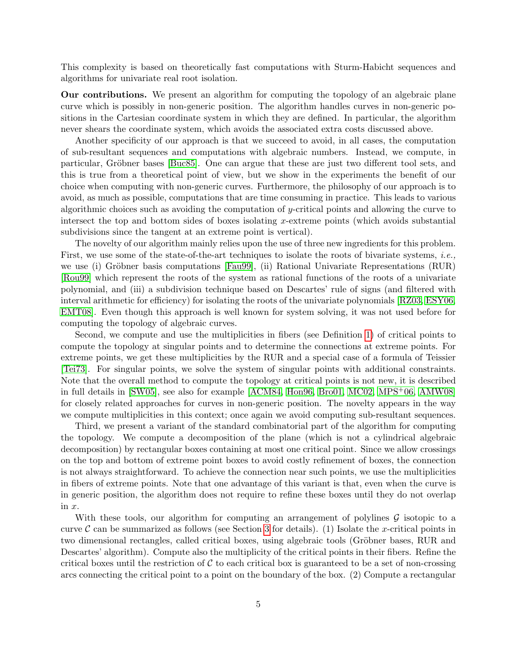This complexity is based on theoretically fast computations with Sturm-Habicht sequences and algorithms for univariate real root isolation.

Our contributions. We present an algorithm for computing the topology of an algebraic plane curve which is possibly in non-generic position. The algorithm handles curves in non-generic positions in the Cartesian coordinate system in which they are defined. In particular, the algorithm never shears the coordinate system, which avoids the associated extra costs discussed above.

Another specificity of our approach is that we succeed to avoid, in all cases, the computation of sub-resultant sequences and computations with algebraic numbers. Instead, we compute, in particular, Gröbner bases [\[Buc85\]](#page-29-8). One can argue that these are just two different tool sets, and this is true from a theoretical point of view, but we show in the experiments the benefit of our choice when computing with non-generic curves. Furthermore, the philosophy of our approach is to avoid, as much as possible, computations that are time consuming in practice. This leads to various algorithmic choices such as avoiding the computation of y-critical points and allowing the curve to intersect the top and bottom sides of boxes isolating x-extreme points (which avoids substantial subdivisions since the tangent at an extreme point is vertical).

The novelty of our algorithm mainly relies upon the use of three new ingredients for this problem. First, we use some of the state-of-the-art techniques to isolate the roots of bivariate systems, *i.e.*, we use (i) Gröbner basis computations [\[Fau99\]](#page-30-6), (ii) Rational Univariate Representations (RUR) [\[Rou99\]](#page-32-4) which represent the roots of the system as rational functions of the roots of a univariate polynomial, and (iii) a subdivision technique based on Descartes' rule of signs (and filtered with interval arithmetic for efficiency) for isolating the roots of the univariate polynomials [\[RZ03,](#page-32-5) [ESY06,](#page-30-7) [EMT08\]](#page-30-8). Even though this approach is well known for system solving, it was not used before for computing the topology of algebraic curves.

Second, we compute and use the multiplicities in fibers (see Definition [1\)](#page-7-0) of critical points to compute the topology at singular points and to determine the connections at extreme points. For extreme points, we get these multiplicities by the RUR and a special case of a formula of Teissier [\[Tei73\]](#page-32-6). For singular points, we solve the system of singular points with additional constraints. Note that the overall method to compute the topology at critical points is not new, it is described in full details in [\[SW05\]](#page-32-3), see also for example [\[ACM84,](#page-29-6) [Hon96,](#page-31-3) [Bro01,](#page-29-5) [MC02,](#page-31-5) [MPS](#page-31-4)+06, [AMW08\]](#page-29-0) for closely related approaches for curves in non-generic position. The novelty appears in the way we compute multiplicities in this context; once again we avoid computing sub-resultant sequences.

Third, we present a variant of the standard combinatorial part of the algorithm for computing the topology. We compute a decomposition of the plane (which is not a cylindrical algebraic decomposition) by rectangular boxes containing at most one critical point. Since we allow crossings on the top and bottom of extreme point boxes to avoid costly refinement of boxes, the connection is not always straightforward. To achieve the connection near such points, we use the multiplicities in fibers of extreme points. Note that one advantage of this variant is that, even when the curve is in generic position, the algorithm does not require to refine these boxes until they do not overlap in x.

With these tools, our algorithm for computing an arrangement of polylines  $\mathcal G$  isotopic to a curve  $\mathcal C$  can be summarized as follows (see Section [3](#page-8-0) for details). (1) Isolate the x-critical points in two dimensional rectangles, called critical boxes, using algebraic tools (Gröbner bases, RUR and Descartes' algorithm). Compute also the multiplicity of the critical points in their fibers. Refine the critical boxes until the restriction of  $\mathcal C$  to each critical box is guaranteed to be a set of non-crossing arcs connecting the critical point to a point on the boundary of the box. (2) Compute a rectangular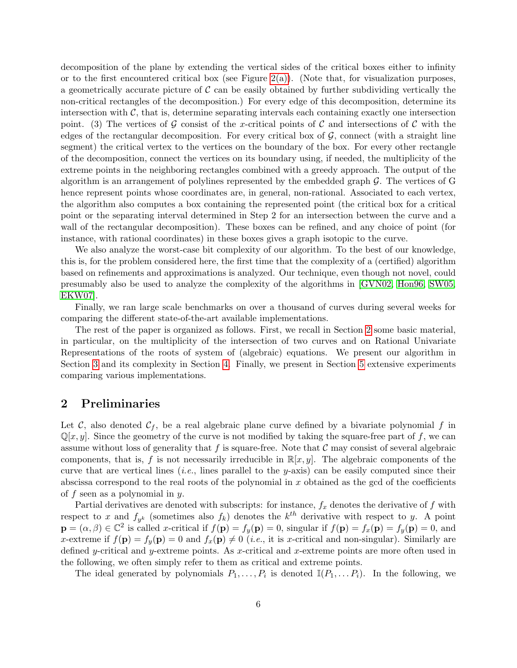decomposition of the plane by extending the vertical sides of the critical boxes either to infinity or to the first encountered critical box (see Figure [2\(a\)\)](#page-9-0). (Note that, for visualization purposes, a geometrically accurate picture of  $\mathcal C$  can be easily obtained by further subdividing vertically the non-critical rectangles of the decomposition.) For every edge of this decomposition, determine its intersection with  $\mathcal{C}$ , that is, determine separating intervals each containing exactly one intersection point. (3) The vertices of G consist of the x-critical points of C and intersections of C with the edges of the rectangular decomposition. For every critical box of  $\mathcal{G}$ , connect (with a straight line segment) the critical vertex to the vertices on the boundary of the box. For every other rectangle of the decomposition, connect the vertices on its boundary using, if needed, the multiplicity of the extreme points in the neighboring rectangles combined with a greedy approach. The output of the algorithm is an arrangement of polylines represented by the embedded graph  $\mathcal{G}$ . The vertices of G hence represent points whose coordinates are, in general, non-rational. Associated to each vertex, the algorithm also computes a box containing the represented point (the critical box for a critical point or the separating interval determined in Step 2 for an intersection between the curve and a wall of the rectangular decomposition). These boxes can be refined, and any choice of point (for instance, with rational coordinates) in these boxes gives a graph isotopic to the curve.

We also analyze the worst-case bit complexity of our algorithm. To the best of our knowledge, this is, for the problem considered here, the first time that the complexity of a (certified) algorithm based on refinements and approximations is analyzed. Our technique, even though not novel, could presumably also be used to analyze the complexity of the algorithms in [\[GVN02,](#page-31-2) [Hon96,](#page-31-3) [SW05,](#page-32-3) [EKW07\]](#page-30-2).

Finally, we ran large scale benchmarks on over a thousand of curves during several weeks for comparing the different state-of-the-art available implementations.

The rest of the paper is organized as follows. First, we recall in Section [2](#page-6-0) some basic material, in particular, on the multiplicity of the intersection of two curves and on Rational Univariate Representations of the roots of system of (algebraic) equations. We present our algorithm in Section [3](#page-8-0) and its complexity in Section [4.](#page-17-0) Finally, we present in Section [5](#page-24-0) extensive experiments comparing various implementations.

## <span id="page-6-0"></span>2 Preliminaries

Let C, also denoted  $C_f$ , be a real algebraic plane curve defined by a bivariate polynomial f in  $\mathbb{Q}[x, y]$ . Since the geometry of the curve is not modified by taking the square-free part of f, we can assume without loss of generality that f is square-free. Note that  $\mathcal C$  may consist of several algebraic components, that is, f is not necessarily irreducible in  $\mathbb{R}[x, y]$ . The algebraic components of the curve that are vertical lines (*i.e.*, lines parallel to the y-axis) can be easily computed since their abscissa correspond to the real roots of the polynomial in x obtained as the gcd of the coefficients of f seen as a polynomial in  $y$ .

Partial derivatives are denoted with subscripts: for instance,  $f_x$  denotes the derivative of f with respect to x and  $f_{y^k}$  (sometimes also  $f_k$ ) denotes the  $k^{th}$  derivative with respect to y. A point  $\mathbf{p} = (\alpha, \beta) \in \mathbb{C}^2$  is called x-critical if  $f(\mathbf{p}) = f_y(\mathbf{p}) = 0$ , singular if  $f(\mathbf{p}) = f_x(\mathbf{p}) = f_y(\mathbf{p}) = 0$ , and x-extreme if  $f(\mathbf{p}) = f_{\nu}(\mathbf{p}) = 0$  and  $f_{\nu}(\mathbf{p}) \neq 0$  (*i.e.*, it is x-critical and non-singular). Similarly are defined y-critical and y-extreme points. As x-critical and x-extreme points are more often used in the following, we often simply refer to them as critical and extreme points.

The ideal generated by polynomials  $P_1, \ldots, P_i$  is denoted  $\mathbb{I}(P_1, \ldots P_i)$ . In the following, we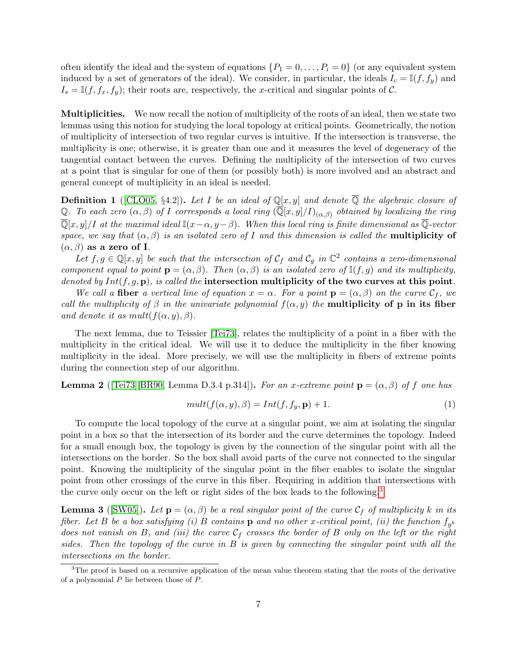often identify the ideal and the system of equations  $\{P_1 = 0, \ldots, P_i = 0\}$  (or any equivalent system induced by a set of generators of the ideal). We consider, in particular, the ideals  $I_c = \mathbb{I}(f, f_y)$  and  $I_s = \mathbb{I}(f, f_x, f_y)$ ; their roots are, respectively, the x-critical and singular points of C.

Multiplicities. We now recall the notion of multiplicity of the roots of an ideal, then we state two lemmas using this notion for studying the local topology at critical points. Geometrically, the notion of multiplicity of intersection of two regular curves is intuitive. If the intersection is transverse, the multiplicity is one; otherwise, it is greater than one and it measures the level of degeneracy of the tangential contact between the curves. Defining the multiplicity of the intersection of two curves at a point that is singular for one of them (or possibly both) is more involved and an abstract and general concept of multiplicity in an ideal is needed.

<span id="page-7-0"></span>**Definition 1** ([\[CLO05,](#page-29-9) §4.2]). Let I be an ideal of  $\mathbb{Q}[x, y]$  and denote  $\overline{\mathbb{Q}}$  the algebraic closure of Q. To each zero  $(\alpha, \beta)$  of I corresponds a local ring  $(\overline{\mathbb{Q}}[x, y]/I)_{(\alpha, \beta)}$  obtained by localizing the ring  $\overline{\mathbb{Q}}[x,y]/I$  at the maximal ideal  $\mathbb{I}(x-\alpha, y-\beta)$ . When this local ring is finite dimensional as  $\overline{\mathbb{Q}}$ -vector space, we say that  $(\alpha, \beta)$  is an isolated zero of I and this dimension is called the **multiplicity of**  $(\alpha, \beta)$  as a zero of I.

Let  $f, g \in \mathbb{Q}[x, y]$  be such that the intersection of  $\mathcal{C}_f$  and  $\mathcal{C}_g$  in  $\mathbb{C}^2$  contains a zero-dimensional component equal to point  $\mathbf{p} = (\alpha, \beta)$ . Then  $(\alpha, \beta)$  is an isolated zero of  $\mathbb{I}(f,g)$  and its multiplicity, denoted by  $Int(f, g, \mathbf{p})$ , is called the intersection multiplicity of the two curves at this point.

We call a fiber a vertical line of equation  $x = \alpha$ . For a point  $\mathbf{p} = (\alpha, \beta)$  on the curve  $\mathcal{C}_f$ , we call the multiplicity of  $\beta$  in the univariate polynomial  $f(\alpha, y)$  the **multiplicity of p in its fiber** and denote it as  $mult(f(\alpha, y), \beta)$ .

The next lemma, due to Teissier [\[Tei73\]](#page-32-6), relates the multiplicity of a point in a fiber with the multiplicity in the critical ideal. We will use it to deduce the multiplicity in the fiber knowing multiplicity in the ideal. More precisely, we will use the multiplicity in fibers of extreme points during the connection step of our algorithm.

<span id="page-7-2"></span>**Lemma 2** ([\[Tei73\]](#page-32-6)[\[BR90,](#page-29-10) Lemma D.3.4 p.314]). For an x-extreme point  $\mathbf{p} = (\alpha, \beta)$  of f one has

$$
mult(f(\alpha, y), \beta) = Int(f, f_y, \mathbf{p}) + 1.
$$
\n(1)

To compute the local topology of the curve at a singular point, we aim at isolating the singular point in a box so that the intersection of its border and the curve determines the topology. Indeed for a small enough box, the topology is given by the connection of the singular point with all the intersections on the border. So the box shall avoid parts of the curve not connected to the singular point. Knowing the multiplicity of the singular point in the fiber enables to isolate the singular point from other crossings of the curve in this fiber. Requiring in addition that intersections with the curve only occur on the left or right sides of the box leads to the following.[3](#page-7-1)

<span id="page-7-3"></span>**Lemma 3** ([\[SW05\]](#page-32-3)). Let  $\mathbf{p} = (\alpha, \beta)$  be a real singular point of the curve  $\mathcal{C}_f$  of multiplicity k in its fiber. Let B be a box satisfying (i) B contains  ${\bf p}$  and no other x-critical point, (ii) the function  $f_{y^k}$ does not vanish on B, and (iii) the curve  $C_f$  crosses the border of B only on the left or the right sides. Then the topology of the curve in  $B$  is given by connecting the singular point with all the intersections on the border.

<span id="page-7-1"></span> $3$ The proof is based on a recursive application of the mean value theorem stating that the roots of the derivative of a polynomial  $P$  lie between those of  $P$ .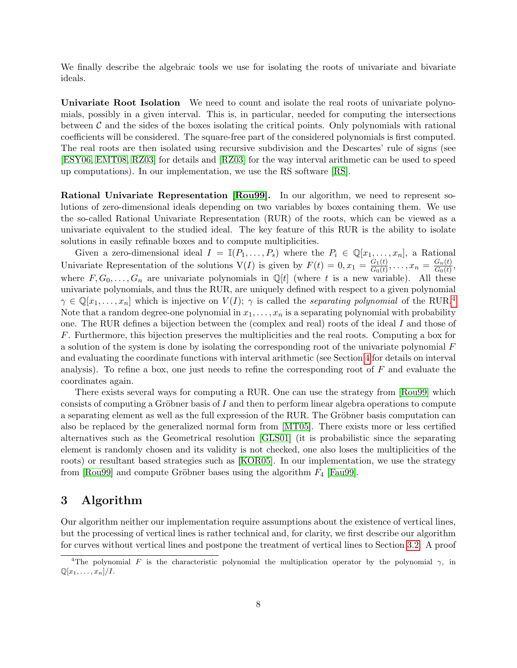We finally describe the algebraic tools we use for isolating the roots of univariate and bivariate ideals.

Univariate Root Isolation We need to count and isolate the real roots of univariate polynomials, possibly in a given interval. This is, in particular, needed for computing the intersections between  $\mathcal C$  and the sides of the boxes isolating the critical points. Only polynomials with rational coefficients will be considered. The square-free part of the considered polynomials is first computed. The real roots are then isolated using recursive subdivision and the Descartes' rule of signs (see [\[ESY06,](#page-30-7) [EMT08,](#page-30-8) [RZ03\]](#page-32-5) for details and [\[RZ03\]](#page-32-5) for the way interval arithmetic can be used to speed up computations). In our implementation, we use the RS software [\[RS\]](#page-32-7).

Rational Univariate Representation [\[Rou99\]](#page-32-4). In our algorithm, we need to represent solutions of zero-dimensional ideals depending on two variables by boxes containing them. We use the so-called Rational Univariate Representation (RUR) of the roots, which can be viewed as a univariate equivalent to the studied ideal. The key feature of this RUR is the ability to isolate solutions in easily refinable boxes and to compute multiplicities.

Given a zero-dimensional ideal  $I = \mathbb{I}(P_1, \ldots, P_s)$  where the  $P_i \in \mathbb{Q}[x_1, \ldots, x_n]$ , a Rational Univariate Representation of the solutions  $V(I)$  is given by  $F(t) = 0, x_1 = \frac{G_1(t)}{G_0(t)}$  $\frac{G_1(t)}{G_0(t)}, \ldots, x_n = \frac{G_n(t)}{G_0(t)}$  $\frac{G_n(t)}{G_0(t)},$ where  $F, G_0, \ldots, G_n$  are univariate polynomials in  $\mathbb{Q}[t]$  (where t is a new variable). All these univariate polynomials, and thus the RUR, are uniquely defined with respect to a given polynomial  $\gamma \in \mathbb{Q}[x_1,\ldots,x_n]$  which is injective on  $V(I);$   $\gamma$  is called the separating polynomial of the RUR.<sup>[4](#page-8-1)</sup> Note that a random degree-one polynomial in  $x_1, \ldots, x_n$  is a separating polynomial with probability one. The RUR defines a bijection between the (complex and real) roots of the ideal I and those of F. Furthermore, this bijection preserves the multiplicities and the real roots. Computing a box for a solution of the system is done by isolating the corresponding root of the univariate polynomial F and evaluating the coordinate functions with interval arithmetic (see Section [4](#page-17-0) for details on interval analysis). To refine a box, one just needs to refine the corresponding root of  $F$  and evaluate the coordinates again.

There exists several ways for computing a RUR. One can use the strategy from [\[Rou99\]](#page-32-4) which consists of computing a Gröbner basis of  $I$  and then to perform linear algebra operations to compute a separating element as well as the full expression of the RUR. The Gröbner basis computation can also be replaced by the generalized normal form from [\[MT05\]](#page-31-8). There exists more or less certified alternatives such as the Geometrical resolution [\[GLS01\]](#page-30-9) (it is probabilistic since the separating element is randomly chosen and its validity is not checked, one also loses the multiplicities of the roots) or resultant based strategies such as [\[KOR05\]](#page-31-9). In our implementation, we use the strategy from [\[Rou99\]](#page-32-4) and compute Gröbner bases using the algorithm  $F_4$  [\[Fau99\]](#page-30-6).

## <span id="page-8-0"></span>3 Algorithm

Our algorithm neither our implementation require assumptions about the existence of vertical lines, but the processing of vertical lines is rather technical and, for clarity, we first describe our algorithm for curves without vertical lines and postpone the treatment of vertical lines to Section [3.2.](#page-12-0) A proof

<span id="page-8-1"></span><sup>&</sup>lt;sup>4</sup>The polynomial F is the characteristic polynomial the multiplication operator by the polynomial  $\gamma$ , in  $\mathbb{Q}[x_1,\ldots,x_n]/I.$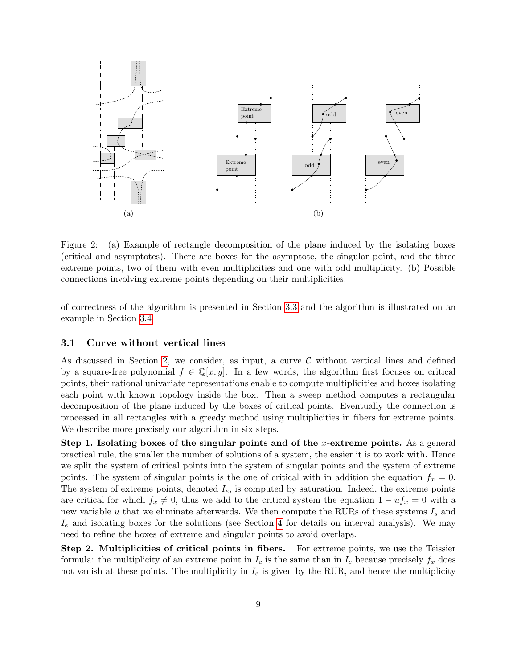<span id="page-9-0"></span>

<span id="page-9-1"></span>Figure 2: (a) Example of rectangle decomposition of the plane induced by the isolating boxes (critical and asymptotes). There are boxes for the asymptote, the singular point, and the three extreme points, two of them with even multiplicities and one with odd multiplicity. (b) Possible connections involving extreme points depending on their multiplicities.

of correctness of the algorithm is presented in Section [3.3](#page-13-0) and the algorithm is illustrated on an example in Section [3.4.](#page-13-1)

#### <span id="page-9-2"></span>3.1 Curve without vertical lines

As discussed in Section [2,](#page-6-0) we consider, as input, a curve  $\mathcal C$  without vertical lines and defined by a square-free polynomial  $f \in \mathbb{Q}[x, y]$ . In a few words, the algorithm first focuses on critical points, their rational univariate representations enable to compute multiplicities and boxes isolating each point with known topology inside the box. Then a sweep method computes a rectangular decomposition of the plane induced by the boxes of critical points. Eventually the connection is processed in all rectangles with a greedy method using multiplicities in fibers for extreme points. We describe more precisely our algorithm in six steps.

Step 1. Isolating boxes of the singular points and of the x-extreme points. As a general practical rule, the smaller the number of solutions of a system, the easier it is to work with. Hence we split the system of critical points into the system of singular points and the system of extreme points. The system of singular points is the one of critical with in addition the equation  $f_x = 0$ . The system of extreme points, denoted  $I_e$ , is computed by saturation. Indeed, the extreme points are critical for which  $f_x \neq 0$ , thus we add to the critical system the equation  $1 - uf_x = 0$  with a new variable u that we eliminate afterwards. We then compute the RURs of these systems  $I_s$  and  $I_e$  and isolating boxes for the solutions (see Section [4](#page-17-0) for details on interval analysis). We may need to refine the boxes of extreme and singular points to avoid overlaps.

Step 2. Multiplicities of critical points in fibers. For extreme points, we use the Teissier formula: the multiplicity of an extreme point in  $I_c$  is the same than in  $I_e$  because precisely  $f_x$  does not vanish at these points. The multiplicity in  $I_e$  is given by the RUR, and hence the multiplicity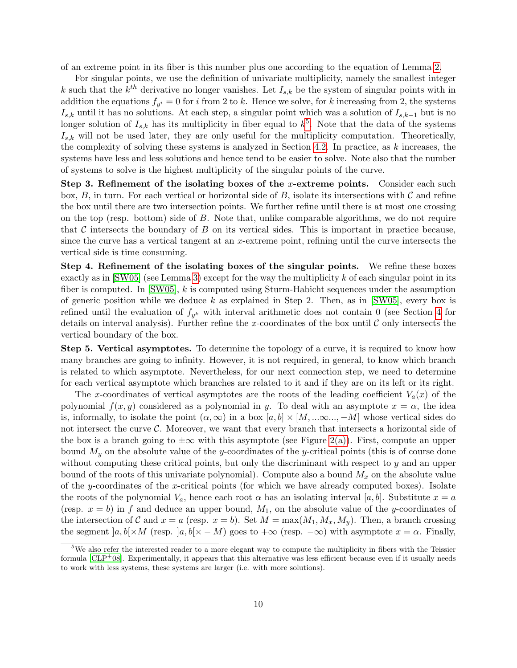of an extreme point in its fiber is this number plus one according to the equation of Lemma [2.](#page-7-2)

For singular points, we use the definition of univariate multiplicity, namely the smallest integer k such that the  $k^{th}$  derivative no longer vanishes. Let  $I_{s,k}$  be the system of singular points with in addition the equations  $f_{y^i} = 0$  for i from 2 to k. Hence we solve, for k increasing from 2, the systems  $I_{s,k}$  until it has no solutions. At each step, a singular point which was a solution of  $I_{s,k-1}$  but is no longer solution of  $I_{s,k}$  has its multiplicity in fiber equal to  $k^5$  $k^5$ . Note that the data of the systems  $I_{s,k}$  will not be used later, they are only useful for the multiplicity computation. Theoretically, the complexity of solving these systems is analyzed in Section [4.2.](#page-19-0) In practice, as  $k$  increases, the systems have less and less solutions and hence tend to be easier to solve. Note also that the number of systems to solve is the highest multiplicity of the singular points of the curve.

Step 3. Refinement of the isolating boxes of the x-extreme points. Consider each such box,  $B$ , in turn. For each vertical or horizontal side of  $B$ , isolate its intersections with  $C$  and refine the box until there are two intersection points. We further refine until there is at most one crossing on the top (resp. bottom) side of B. Note that, unlike comparable algorithms, we do not require that  $\mathcal C$  intersects the boundary of  $B$  on its vertical sides. This is important in practice because, since the curve has a vertical tangent at an  $x$ -extreme point, refining until the curve intersects the vertical side is time consuming.

Step 4. Refinement of the isolating boxes of the singular points. We refine these boxes exactly as in  $\text{[SW05]}$  (see Lemma [3\)](#page-7-3) except for the way the multiplicity k of each singular point in its fiber is computed. In  $\text{[SW05]}$ , k is computed using Sturm-Habicht sequences under the assumption of generic position while we deduce  $k$  as explained in Step 2. Then, as in [\[SW05\]](#page-32-3), every box is refined until the evaluation of  $f_{y^k}$  with interval arithmetic does not contain 0 (see Section [4](#page-17-0) for details on interval analysis). Further refine the x-coordinates of the box until  $\mathcal C$  only intersects the vertical boundary of the box.

Step 5. Vertical asymptotes. To determine the topology of a curve, it is required to know how many branches are going to infinity. However, it is not required, in general, to know which branch is related to which asymptote. Nevertheless, for our next connection step, we need to determine for each vertical asymptote which branches are related to it and if they are on its left or its right.

The x-coordinates of vertical asymptotes are the roots of the leading coefficient  $V_a(x)$  of the polynomial  $f(x, y)$  considered as a polynomial in y. To deal with an asymptote  $x = \alpha$ , the idea is, informally, to isolate the point  $(\alpha, \infty)$  in a box  $[a, b] \times [M, \dots \infty, -M]$  whose vertical sides do not intersect the curve  $\mathcal{C}$ . Moreover, we want that every branch that intersects a horizontal side of the box is a branch going to  $\pm \infty$  with this asymptote (see Figure [2\(a\)\)](#page-9-0). First, compute an upper bound  $M_y$  on the absolute value of the y-coordinates of the y-critical points (this is of course done without computing these critical points, but only the discriminant with respect to  $y$  and an upper bound of the roots of this univariate polynomial). Compute also a bound  $M_x$  on the absolute value of the y-coordinates of the x-critical points (for which we have already computed boxes). Isolate the roots of the polynomial  $V_a$ , hence each root  $\alpha$  has an isolating interval [a, b]. Substitute  $x = a$ (resp.  $x = b$ ) in f and deduce an upper bound,  $M_1$ , on the absolute value of the y-coordinates of the intersection of C and  $x = a$  (resp.  $x = b$ ). Set  $M = \max(M_1, M_x, M_y)$ . Then, a branch crossing the segment  $|a, b| \times M$  (resp.  $|a, b| \times - M$ ) goes to  $+\infty$  (resp.  $-\infty$ ) with asymptote  $x = \alpha$ . Finally,

<span id="page-10-0"></span> $5$ We also refer the interested reader to a more elegant way to compute the multiplicity in fibers with the Teissier formula  $[CLP<sup>+</sup>08]$ . Experimentally, it appears that this alternative was less efficient because even if it usually needs to work with less systems, these systems are larger (i.e. with more solutions).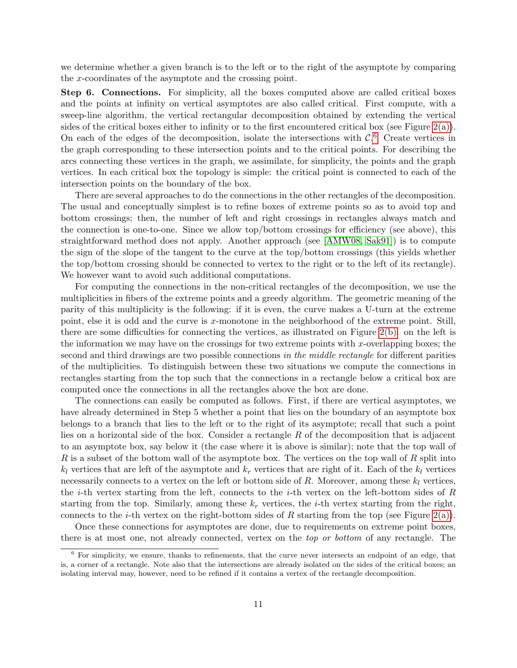we determine whether a given branch is to the left or to the right of the asymptote by comparing the x-coordinates of the asymptote and the crossing point.

Step 6. Connections. For simplicity, all the boxes computed above are called critical boxes and the points at infinity on vertical asymptotes are also called critical. First compute, with a sweep-line algorithm, the vertical rectangular decomposition obtained by extending the vertical sides of the critical boxes either to infinity or to the first encountered critical box (see Figure [2\(a\)\)](#page-9-0). On each of the edges of the decomposition, isolate the intersections with  $\mathcal{C}$ . Create vertices in the graph corresponding to these intersection points and to the critical points. For describing the arcs connecting these vertices in the graph, we assimilate, for simplicity, the points and the graph vertices. In each critical box the topology is simple: the critical point is connected to each of the intersection points on the boundary of the box.

There are several approaches to do the connections in the other rectangles of the decomposition. The usual and conceptually simplest is to refine boxes of extreme points so as to avoid top and bottom crossings; then, the number of left and right crossings in rectangles always match and the connection is one-to-one. Since we allow top/bottom crossings for efficiency (see above), this straightforward method does not apply. Another approach (see [\[AMW08,](#page-29-0) [Sak91\]](#page-32-1)) is to compute the sign of the slope of the tangent to the curve at the top/bottom crossings (this yields whether the top/bottom crossing should be connected to vertex to the right or to the left of its rectangle). We however want to avoid such additional computations.

For computing the connections in the non-critical rectangles of the decomposition, we use the multiplicities in fibers of the extreme points and a greedy algorithm. The geometric meaning of the parity of this multiplicity is the following: if it is even, the curve makes a U-turn at the extreme point, else it is odd and the curve is x-monotone in the neighborhood of the extreme point. Still, there are some difficulties for connecting the vertices, as illustrated on Figure [2\(b\):](#page-9-1) on the left is the information we may have on the crossings for two extreme points with x-overlapping boxes; the second and third drawings are two possible connections in the middle rectangle for different parities of the multiplicities. To distinguish between these two situations we compute the connections in rectangles starting from the top such that the connections in a rectangle below a critical box are computed once the connections in all the rectangles above the box are done.

The connections can easily be computed as follows. First, if there are vertical asymptotes, we have already determined in Step 5 whether a point that lies on the boundary of an asymptote box belongs to a branch that lies to the left or to the right of its asymptote; recall that such a point lies on a horizontal side of the box. Consider a rectangle  $R$  of the decomposition that is adjacent to an asymptote box, say below it (the case where it is above is similar); note that the top wall of R is a subset of the bottom wall of the asymptote box. The vertices on the top wall of R split into  $k_l$  vertices that are left of the asymptote and  $k_r$  vertices that are right of it. Each of the  $k_l$  vertices necessarily connects to a vertex on the left or bottom side of R. Moreover, among these  $k_l$  vertices, the *i*-th vertex starting from the left, connects to the *i*-th vertex on the left-bottom sides of  $R$ starting from the top. Similarly, among these  $k_r$  vertices, the *i*-th vertex starting from the right. connects to the *i*-th vertex on the right-bottom sides of R starting from the top (see Figure [2\(a\)\)](#page-9-0).

Once these connections for asymptotes are done, due to requirements on extreme point boxes, there is at most one, not already connected, vertex on the top or bottom of any rectangle. The

<span id="page-11-0"></span><sup>6</sup> For simplicity, we ensure, thanks to refinements, that the curve never intersects an endpoint of an edge, that is, a corner of a rectangle. Note also that the intersections are already isolated on the sides of the critical boxes; an isolating interval may, however, need to be refined if it contains a vertex of the rectangle decomposition.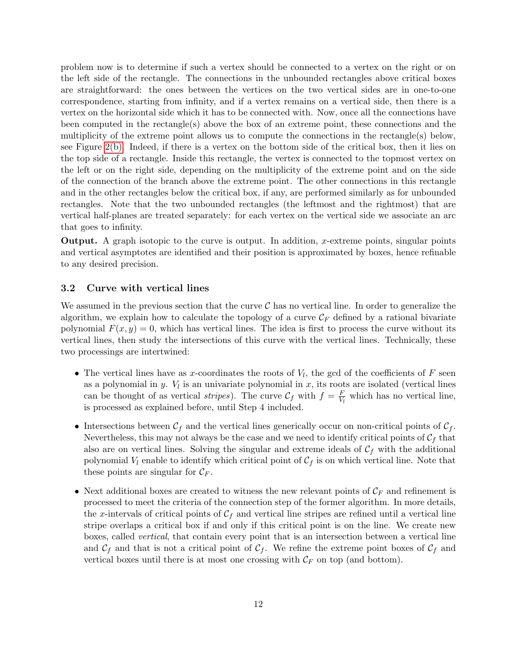problem now is to determine if such a vertex should be connected to a vertex on the right or on the left side of the rectangle. The connections in the unbounded rectangles above critical boxes are straightforward: the ones between the vertices on the two vertical sides are in one-to-one correspondence, starting from infinity, and if a vertex remains on a vertical side, then there is a vertex on the horizontal side which it has to be connected with. Now, once all the connections have been computed in the rectangle(s) above the box of an extreme point, these connections and the multiplicity of the extreme point allows us to compute the connections in the rectangle(s) below, see Figure [2\(b\).](#page-9-1) Indeed, if there is a vertex on the bottom side of the critical box, then it lies on the top side of a rectangle. Inside this rectangle, the vertex is connected to the topmost vertex on the left or on the right side, depending on the multiplicity of the extreme point and on the side of the connection of the branch above the extreme point. The other connections in this rectangle and in the other rectangles below the critical box, if any, are performed similarly as for unbounded rectangles. Note that the two unbounded rectangles (the leftmost and the rightmost) that are vertical half-planes are treated separately: for each vertex on the vertical side we associate an arc that goes to infinity.

**Output.** A graph isotopic to the curve is output. In addition, x-extreme points, singular points and vertical asymptotes are identified and their position is approximated by boxes, hence refinable to any desired precision.

#### <span id="page-12-0"></span>3.2 Curve with vertical lines

We assumed in the previous section that the curve  $\mathcal C$  has no vertical line. In order to generalize the algorithm, we explain how to calculate the topology of a curve  $\mathcal{C}_F$  defined by a rational bivariate polynomial  $F(x, y) = 0$ , which has vertical lines. The idea is first to process the curve without its vertical lines, then study the intersections of this curve with the vertical lines. Technically, these two processings are intertwined:

- The vertical lines have as x-coordinates the roots of  $V_l$ , the gcd of the coefficients of  $F$  seen as a polynomial in y.  $V_l$  is an univariate polynomial in x, its roots are isolated (vertical lines can be thought of as vertical *stripes*). The curve  $\mathcal{C}_f$  with  $f = \frac{F}{V_i}$  $\frac{F}{V_l}$  which has no vertical line, is processed as explained before, until Step 4 included.
- Intersections between  $\mathcal{C}_f$  and the vertical lines generically occur on non-critical points of  $\mathcal{C}_f$ . Nevertheless, this may not always be the case and we need to identify critical points of  $C_f$  that also are on vertical lines. Solving the singular and extreme ideals of  $\mathcal{C}_f$  with the additional polynomial  $V_l$  enable to identify which critical point of  $\mathcal{C}_f$  is on which vertical line. Note that these points are singular for  $\mathcal{C}_F$ .
- Next additional boxes are created to witness the new relevant points of  $\mathcal{C}_F$  and refinement is processed to meet the criteria of the connection step of the former algorithm. In more details, the x-intervals of critical points of  $C_f$  and vertical line stripes are refined until a vertical line stripe overlaps a critical box if and only if this critical point is on the line. We create new boxes, called vertical, that contain every point that is an intersection between a vertical line and  $C_f$  and that is not a critical point of  $C_f$ . We refine the extreme point boxes of  $C_f$  and vertical boxes until there is at most one crossing with  $\mathcal{C}_F$  on top (and bottom).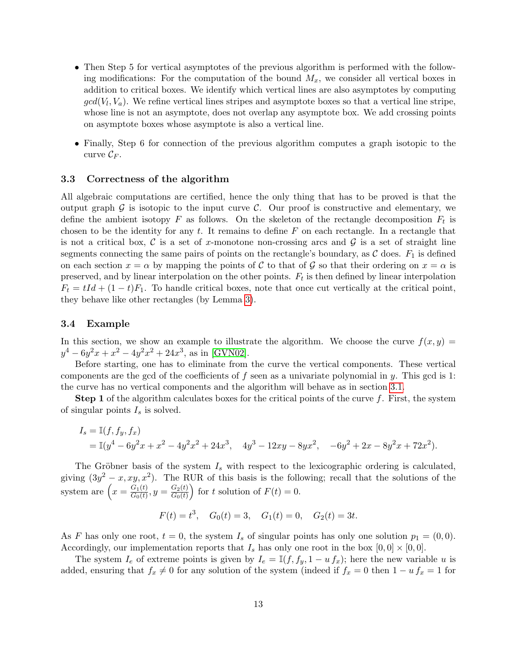- Then Step 5 for vertical asymptotes of the previous algorithm is performed with the following modifications: For the computation of the bound  $M_x$ , we consider all vertical boxes in addition to critical boxes. We identify which vertical lines are also asymptotes by computing  $gcd(V_l, V_a)$ . We refine vertical lines stripes and asymptote boxes so that a vertical line stripe, whose line is not an asymptote, does not overlap any asymptote box. We add crossing points on asymptote boxes whose asymptote is also a vertical line.
- Finally, Step 6 for connection of the previous algorithm computes a graph isotopic to the curve  $\mathcal{C}_F$ .

#### <span id="page-13-0"></span>3.3 Correctness of the algorithm

All algebraic computations are certified, hence the only thing that has to be proved is that the output graph  $\mathcal G$  is isotopic to the input curve  $\mathcal C$ . Our proof is constructive and elementary, we define the ambient isotopy  $F$  as follows. On the skeleton of the rectangle decomposition  $F_t$  is chosen to be the identity for any  $t$ . It remains to define  $F$  on each rectangle. In a rectangle that is not a critical box,  $\mathcal C$  is a set of x-monotone non-crossing arcs and  $\mathcal G$  is a set of straight line segments connecting the same pairs of points on the rectangle's boundary, as  $\mathcal C$  does.  $F_1$  is defined on each section  $x = \alpha$  by mapping the points of C to that of G so that their ordering on  $x = \alpha$  is preserved, and by linear interpolation on the other points.  $F_t$  is then defined by linear interpolation  $F_t = tId + (1-t)F_1$ . To handle critical boxes, note that once cut vertically at the critical point, they behave like other rectangles (by Lemma [3\)](#page-7-3).

#### <span id="page-13-1"></span>3.4 Example

In this section, we show an example to illustrate the algorithm. We choose the curve  $f(x, y) =$  $y^4 - 6y^2x + x^2 - 4y^2x^2 + 24x^3$ , as in [\[GVN02\]](#page-31-2).

Before starting, one has to eliminate from the curve the vertical components. These vertical components are the gcd of the coefficients of f seen as a univariate polynomial in y. This gcd is 1: the curve has no vertical components and the algorithm will behave as in section [3.1.](#page-9-2)

**Step 1** of the algorithm calculates boxes for the critical points of the curve  $f$ . First, the system of singular points  $I_s$  is solved.

$$
I_s = \mathbb{I}(f, f_y, f_x)
$$
  
=  $\mathbb{I}(y^4 - 6y^2x + x^2 - 4y^2x^2 + 24x^3, 4y^3 - 12xy - 8yx^2, -6y^2 + 2x - 8y^2x + 72x^2).$ 

The Gröbner basis of the system  $I_s$  with respect to the lexicographic ordering is calculated. giving  $(3y^2 - x, xy, x^2)$ . The RUR of this basis is the following; recall that the solutions of the system are  $\left(x = \frac{G_1(t)}{G_0(t)}\right)$  $\frac{G_1(t)}{G_0(t)}, y = \frac{G_2(t)}{G_0(t)}$  $G_0(t)$ for t solution of  $F(t) = 0$ .

$$
F(t) = t^3
$$
,  $G_0(t) = 3$ ,  $G_1(t) = 0$ ,  $G_2(t) = 3t$ .

As F has only one root,  $t = 0$ , the system  $I_s$  of singular points has only one solution  $p_1 = (0, 0)$ . Accordingly, our implementation reports that  $I_s$  has only one root in the box  $[0,0] \times [0,0]$ .

The system  $I_e$  of extreme points is given by  $I_e = \mathbb{I}(f, f_y, 1 - u f_x)$ ; here the new variable u is added, ensuring that  $f_x \neq 0$  for any solution of the system (indeed if  $f_x = 0$  then  $1 - u f_x = 1$  for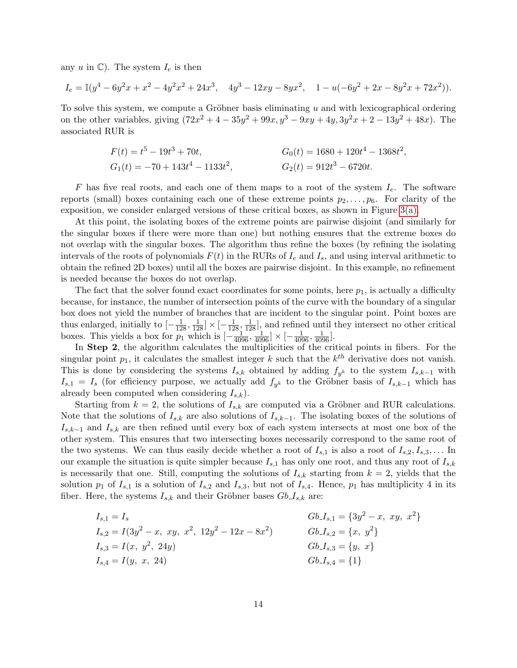any u in  $\mathbb{C}$ . The system  $I_e$  is then

$$
I_e = \mathbb{I}(y^4 - 6y^2x + x^2 - 4y^2x^2 + 24x^3, \quad 4y^3 - 12xy - 8yx^2, \quad 1 - u(-6y^2 + 2x - 8y^2x + 72x^2)).
$$

To solve this system, we compute a Gröbner basis eliminating  $u$  and with lexicographical ordering on the other variables, giving  $(72x^2 + 4 - 35y^2 + 99x, y^3 - 9xy + 4y, 3y^2x + 2 - 13y^2 + 48x)$ . The associated RUR is

$$
F(t) = t5 - 19t3 + 70t,
$$
  
\n
$$
G1(t) = -70 + 143t4 - 1133t2,
$$
  
\n
$$
G2(t) = 912t3 - 6720t.
$$

F has five real roots, and each one of them maps to a root of the system  $I_e$ . The software reports (small) boxes containing each one of these extreme points  $p_2, \ldots, p_6$ . For clarity of the exposition, we consider enlarged versions of these critical boxes, as shown in Figure  $3(a)$ .

At this point, the isolating boxes of the extreme points are pairwise disjoint (and similarly for the singular boxes if there were more than one) but nothing ensures that the extreme boxes do not overlap with the singular boxes. The algorithm thus refine the boxes (by refining the isolating intervals of the roots of polynomials  $F(t)$  in the RURs of  $I_e$  and  $I_s$ , and using interval arithmetic to obtain the refined 2D boxes) until all the boxes are pairwise disjoint. In this example, no refinement is needed because the boxes do not overlap.

The fact that the solver found exact coordinates for some points, here  $p_1$ , is actually a difficulty because, for instance, the number of intersection points of the curve with the boundary of a singular box does not yield the number of branches that are incident to the singular point. Point boxes are thus enlarged, initially to  $\left[-\frac{1}{128}, \frac{1}{128}\right] \times \left[-\frac{1}{128}, \frac{1}{128}\right]$ , and refined until they intersect no other critical boxes. This yields a box for  $p_1$  which is  $\left[-\frac{1}{4096}, \frac{1}{4096}\right] \times \left[-\frac{1}{4096}, \frac{1}{4096}\right]$ .

In Step 2, the algorithm calculates the multiplicities of the critical points in fibers. For the singular point  $p_1$ , it calculates the smallest integer k such that the  $k^{th}$  derivative does not vanish. This is done by considering the systems  $I_{s,k}$  obtained by adding  $f_{y^k}$  to the system  $I_{s,k-1}$  with  $I_{s,1} = I_s$  (for efficiency purpose, we actually add  $f_{y^k}$  to the Gröbner basis of  $I_{s,k-1}$  which has already been computed when considering  $I_{s,k}$ ).

Starting from  $k = 2$ , the solutions of  $I_{s,k}$  are computed via a Gröbner and RUR calculations. Note that the solutions of  $I_{s,k}$  are also solutions of  $I_{s,k-1}$ . The isolating boxes of the solutions of  $I_{s,k-1}$  and  $I_{s,k}$  are then refined until every box of each system intersects at most one box of the other system. This ensures that two intersecting boxes necessarily correspond to the same root of the two systems. We can thus easily decide whether a root of  $I_{s,1}$  is also a root of  $I_{s,2}, I_{s,3}, \ldots$  In our example the situation is quite simpler because  $I_{s,1}$  has only one root, and thus any root of  $I_{s,k}$ is necessarily that one. Still, computing the solutions of  $I_{s,k}$  starting from  $k = 2$ , yields that the solution  $p_1$  of  $I_{s,1}$  is a solution of  $I_{s,2}$  and  $I_{s,3}$ , but not of  $I_{s,4}$ . Hence,  $p_1$  has multiplicity 4 in its fiber. Here, the systems  $I_{s,k}$  and their Gröbner bases  $Gb_{s,k}$  are:

$$
I_{s,1} = I_s
$$
  
\n
$$
I_{s,2} = I(3y^2 - x, xy, x^2, 12y^2 - 12x - 8x^2)
$$
  
\n
$$
I_{s,3} = I(x, y^2, 24y)
$$
  
\n
$$
I_{s,4} = I(y, x, 24)
$$
  
\n
$$
I_{s,5} = \{(y, x, 24)\}
$$
  
\n
$$
I_{s,6} = \{(y, x, 24)\}
$$
  
\n
$$
I_{s,7} = \{(y, x, 24)\}
$$
  
\n
$$
I_{s,8} = \{(y, x, 24)\}
$$
  
\n
$$
I_{s,9} = \{(y, x, 24)\}
$$
  
\n
$$
I_{s,1} = \{(3y^2 - x, xy, x^2\}
$$
  
\n
$$
I_{s,2} = \{(x, y^2\}
$$
  
\n
$$
I_{s,3} = \{(y, x, 24)\}
$$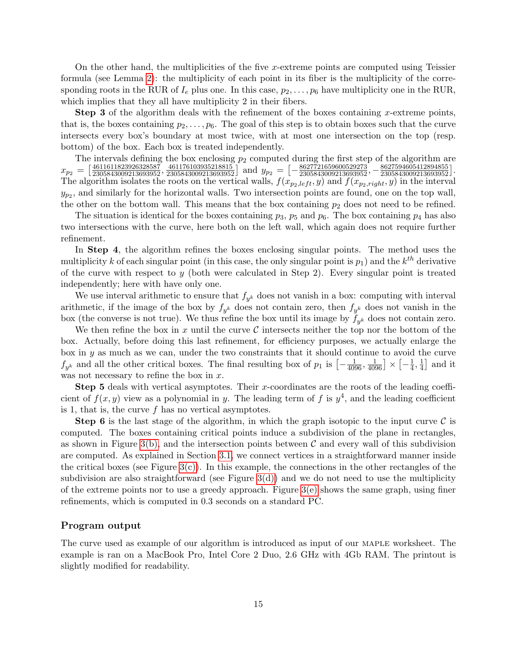On the other hand, the multiplicities of the five x-extreme points are computed using Teissier formula (see Lemma [2\)](#page-7-2): the multiplicity of each point in its fiber is the multiplicity of the corresponding roots in the RUR of  $I_e$  plus one. In this case,  $p_2, \ldots, p_6$  have multiplicity one in the RUR, which implies that they all have multiplicity 2 in their fibers.

**Step 3** of the algorithm deals with the refinement of the boxes containing x-extreme points, that is, the boxes containing  $p_2, \ldots, p_6$ . The goal of this step is to obtain boxes such that the curve intersects every box's boundary at most twice, with at most one intersection on the top (resp. bottom) of the box. Each box is treated independently.

The intervals defining the box enclosing  $p_2$  computed during the first step of the algorithm are  $x_{p_2} = \left[\frac{4611611823926328587}{2305843009213693952}, \frac{461176103935218815}{2305843009213693952}\right]$  and  $y_{p_2} = \left[-\frac{8627721659600529273}{2305843009213693952}, \frac{8627594605412894855}{2305843009213693952}\right]$ . The algorithm isolates the roots on the vertical walls,  $f(x_{p_2, left}, y)$  and  $f(x_{p_2, right}, y)$  in the interval  $y_{p_2}$ , and similarly for the horizontal walls. Two intersection points are found, one on the top wall, the other on the bottom wall. This means that the box containing  $p_2$  does not need to be refined.

The situation is identical for the boxes containing  $p_3$ ,  $p_5$  and  $p_6$ . The box containing  $p_4$  has also two intersections with the curve, here both on the left wall, which again does not require further refinement.

In Step 4, the algorithm refines the boxes enclosing singular points. The method uses the multiplicity k of each singular point (in this case, the only singular point is  $p_1$ ) and the  $k^{th}$  derivative of the curve with respect to  $y$  (both were calculated in Step 2). Every singular point is treated independently; here with have only one.

We use interval arithmetic to ensure that  $f_{y^k}$  does not vanish in a box: computing with interval arithmetic, if the image of the box by  $f_{y^k}$  does not contain zero, then  $f_{y^k}$  does not vanish in the box (the converse is not true). We thus refine the box until its image by  $f_{y^k}$  does not contain zero.

We then refine the box in x until the curve C intersects neither the top nor the bottom of the box. Actually, before doing this last refinement, for efficiency purposes, we actually enlarge the box in  $y$  as much as we can, under the two constraints that it should continue to avoid the curve  $f_{y^k}$  and all the other critical boxes. The final resulting box of  $p_1$  is  $\left[-\frac{1}{4096}, \frac{1}{4096}\right] \times \left[-\frac{1}{4}\right]$  $\frac{1}{4}, \frac{1}{4}$  $\frac{1}{4}$  and it was not necessary to refine the box in  $x$ .

Step 5 deals with vertical asymptotes. Their x-coordinates are the roots of the leading coefficient of  $f(x, y)$  view as a polynomial in y. The leading term of f is  $y^4$ , and the leading coefficient is 1, that is, the curve  $f$  has no vertical asymptotes.

**Step 6** is the last stage of the algorithm, in which the graph isotopic to the input curve  $\mathcal{C}$  is computed. The boxes containing critical points induce a subdivision of the plane in rectangles, as shown in Figure [3\(b\),](#page-16-1) and the intersection points between  $\mathcal C$  and every wall of this subdivision are computed. As explained in Section [3.1,](#page-9-2) we connect vertices in a straightforward manner inside the critical boxes (see Figure  $3(c)$ ). In this example, the connections in the other rectangles of the subdivision are also straightforward (see Figure  $3(d)$ ) and we do not need to use the multiplicity of the extreme points nor to use a greedy approach. Figure [3\(e\)](#page-16-4) shows the same graph, using finer refinements, which is computed in 0.3 seconds on a standard PC.

#### Program output

The curve used as example of our algorithm is introduced as input of our MAPLE worksheet. The example is ran on a MacBook Pro, Intel Core 2 Duo, 2.6 GHz with 4Gb RAM. The printout is slightly modified for readability.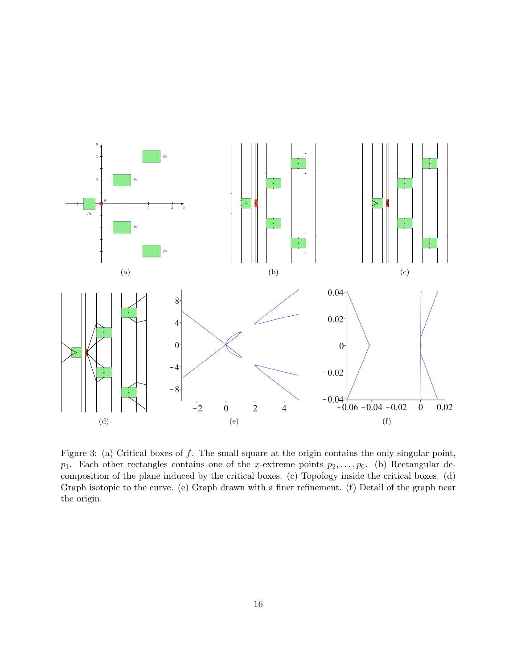<span id="page-16-2"></span><span id="page-16-1"></span><span id="page-16-0"></span>

<span id="page-16-5"></span><span id="page-16-4"></span><span id="page-16-3"></span>Figure 3: (a) Critical boxes of  $f$ . The small square at the origin contains the only singular point,  $p_1$ . Each other rectangles contains one of the x-extreme points  $p_2, \ldots, p_6$ . (b) Rectangular decomposition of the plane induced by the critical boxes. (c) Topology inside the critical boxes. (d) Graph isotopic to the curve. (e) Graph drawn with a finer refinement. (f) Detail of the graph near the origin.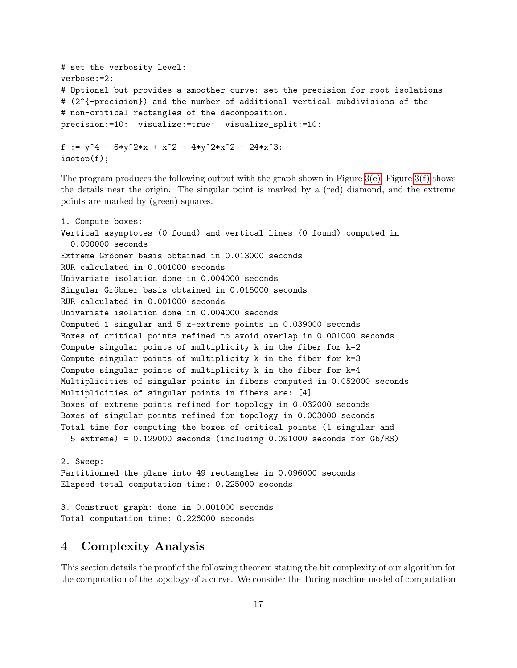```
# set the verbosity level:
verbose:=2:
# Optional but provides a smoother curve: set the precision for root isolations
# (2^{-precision}) and the number of additional vertical subdivisions of the
# non-critical rectangles of the decomposition.
precision:=10: visualize:=true: visualize_split:=10:
f := y^4 - 6*y^2*x + x^2 - 4*y^2*x^2 + 24*x^3:
```
isotop(f);

The program produces the following output with the graph shown in Figure  $3(e)$ ; Figure  $3(f)$  shows the details near the origin. The singular point is marked by a (red) diamond, and the extreme points are marked by (green) squares.

```
1. Compute boxes:
Vertical asymptotes (0 found) and vertical lines (0 found) computed in
  0.000000 seconds
Extreme Gröbner basis obtained in 0.013000 seconds
RUR calculated in 0.001000 seconds
Univariate isolation done in 0.004000 seconds
Singular Gröbner basis obtained in 0.015000 seconds
RUR calculated in 0.001000 seconds
Univariate isolation done in 0.004000 seconds
Computed 1 singular and 5 x-extreme points in 0.039000 seconds
Boxes of critical points refined to avoid overlap in 0.001000 seconds
Compute singular points of multiplicity k in the fiber for k=2
Compute singular points of multiplicity k in the fiber for k=3
Compute singular points of multiplicity k in the fiber for k=4Multiplicities of singular points in fibers computed in 0.052000 seconds
Multiplicities of singular points in fibers are: [4]
Boxes of extreme points refined for topology in 0.032000 seconds
Boxes of singular points refined for topology in 0.003000 seconds
Total time for computing the boxes of critical points (1 singular and
  5 extreme) = 0.129000 seconds (including 0.091000 seconds for Gb/RS)
2. Sweep:
Partitionned the plane into 49 rectangles in 0.096000 seconds
Elapsed total computation time: 0.225000 seconds
```

```
3. Construct graph: done in 0.001000 seconds
Total computation time: 0.226000 seconds
```
# <span id="page-17-0"></span>4 Complexity Analysis

This section details the proof of the following theorem stating the bit complexity of our algorithm for the computation of the topology of a curve. We consider the Turing machine model of computation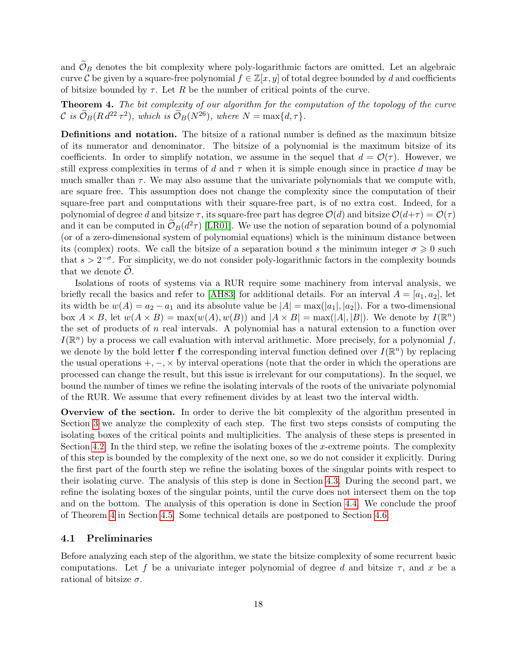and  $\mathcal{O}_B$  denotes the bit complexity where poly-logarithmic factors are omitted. Let an algebraic curve C be given by a square-free polynomial  $f \in \mathbb{Z}[x, y]$  of total degree bounded by d and coefficients of bitsize bounded by  $\tau$ . Let R be the number of critical points of the curve.

<span id="page-18-0"></span>Theorem 4. The bit complexity of our algorithm for the computation of the topology of the curve C is  $\mathcal{O}_B(R d^{22} \tau^2)$ , which is  $\mathcal{O}_B(N^{26})$ , where  $N = \max\{d, \tau\}.$ 

Definitions and notation. The bitsize of a rational number is defined as the maximum bitsize of its numerator and denominator. The bitsize of a polynomial is the maximum bitsize of its coefficients. In order to simplify notation, we assume in the sequel that  $d = \mathcal{O}(\tau)$ . However, we still express complexities in terms of d and  $\tau$  when it is simple enough since in practice d may be much smaller than  $\tau$ . We may also assume that the univariate polynomials that we compute with, are square free. This assumption does not change the complexity since the computation of their square-free part and computations with their square-free part, is of no extra cost. Indeed, for a polynomial of degree d and bitsize  $\tau$ , its square-free part has degree  $\mathcal{O}(d)$  and bitsize  $\mathcal{O}(d+\tau) = \mathcal{O}(\tau)$ and it can be computed in  $\mathcal{O}_B(d^2\tau)$  [\[LR01\]](#page-31-10). We use the notion of separation bound of a polynomial (or of a zero-dimensional system of polynomial equations) which is the minimum distance between its (complex) roots. We call the bitsize of a separation bound s the minimum integer  $\sigma \geq 0$  such that  $s > 2^{-\sigma}$ . For simplicity, we do not consider poly-logarithmic factors in the complexity bounds that we denote  $\mathcal{O}$ .

Isolations of roots of systems via a RUR require some machinery from interval analysis, we briefly recall the basics and refer to [\[AH83\]](#page-29-11) for additional details. For an interval  $A = [a_1, a_2]$ , let its width be  $w(A) = a_2 - a_1$  and its absolute value be  $|A| = max(|a_1|, |a_2|)$ . For a two-dimensional box  $A \times B$ , let  $w(A \times B) = \max(w(A), w(B))$  and  $|A \times B| = \max(|A|, |B|)$ . We denote by  $I(\mathbb{R}^n)$ the set of products of n real intervals. A polynomial has a natural extension to a function over  $I(\mathbb{R}^n)$  by a process we call evaluation with interval arithmetic. More precisely, for a polynomial f, we denote by the bold letter **f** the corresponding interval function defined over  $I(\mathbb{R}^n)$  by replacing the usual operations  $+,-, \times$  by interval operations (note that the order in which the operations are processed can change the result, but this issue is irrelevant for our computations). In the sequel, we bound the number of times we refine the isolating intervals of the roots of the univariate polynomial of the RUR. We assume that every refinement divides by at least two the interval width.

Overview of the section. In order to derive the bit complexity of the algorithm presented in Section [3](#page-8-0) we analyze the complexity of each step. The first two steps consists of computing the isolating boxes of the critical points and multiplicities. The analysis of these steps is presented in Section [4.2.](#page-19-0) In the third step, we refine the isolating boxes of the x-extreme points. The complexity of this step is bounded by the complexity of the next one, so we do not consider it explicitly. During the first part of the fourth step we refine the isolating boxes of the singular points with respect to their isolating curve. The analysis of this step is done in Section [4.3.](#page-21-0) During the second part, we refine the isolating boxes of the singular points, until the curve does not intersect them on the top and on the bottom. The analysis of this operation is done in Section [4.4.](#page-21-1) We conclude the proof of Theorem [4](#page-18-0) in Section [4.5.](#page-22-0) Some technical details are postponed to Section [4.6.](#page-22-1)

#### 4.1 Preliminaries

Before analyzing each step of the algorithm, we state the bitsize complexity of some recurrent basic computations. Let f be a univariate integer polynomial of degree d and bitsize  $\tau$ , and x be a rational of bitsize  $\sigma$ .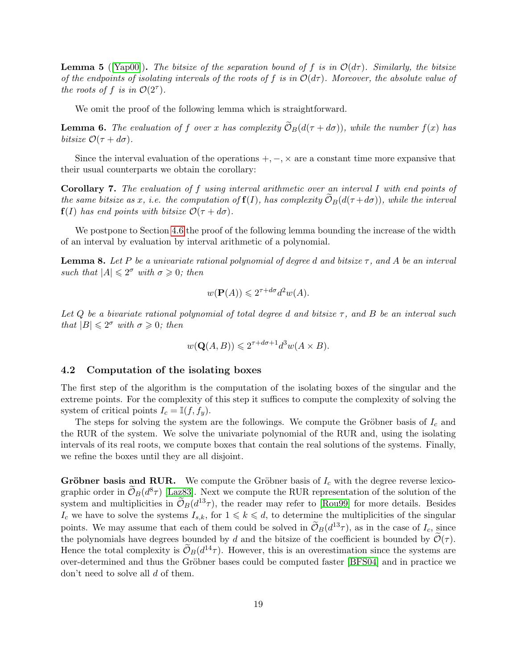<span id="page-19-2"></span>**Lemma 5** ([\[Yap00\]](#page-32-8)). The bitsize of the separation bound of f is in  $\mathcal{O}(d\tau)$ . Similarly, the bitsize of the endpoints of isolating intervals of the roots of f is in  $\mathcal{O}(d\tau)$ . Moreover, the absolute value of the roots of f is in  $\mathcal{O}(2^{\tau}).$ 

We omit the proof of the following lemma which is straightforward.

<span id="page-19-3"></span>**Lemma 6.** The evaluation of f over x has complexity  $\widetilde{\mathcal{O}}_B(d(\tau + d\sigma))$ , while the number  $f(x)$  has bitsize  $\mathcal{O}(\tau + d\sigma)$ .

Since the interval evaluation of the operations  $+,-,\times$  are a constant time more expansive that their usual counterparts we obtain the corollary:

Corollary 7. The evaluation of f using interval arithmetic over an interval I with end points of the same bitsize as x, i.e. the computation of  $f(I)$ , has complexity  $\widetilde{\mathcal{O}}_B(d(\tau+d\sigma))$ , while the interval  $f(I)$  has end points with bitsize  $\mathcal{O}(\tau + d\sigma)$ .

We postpone to Section [4.6](#page-22-1) the proof of the following lemma bounding the increase of the width of an interval by evaluation by interval arithmetic of a polynomial.

<span id="page-19-1"></span>**Lemma 8.** Let P be a univariate rational polynomial of degree d and bitsize  $\tau$ , and A be an interval such that  $|A| \leq 2^{\sigma}$  with  $\sigma \geq 0$ ; then

$$
w(\mathbf{P}(A)) \leqslant 2^{\tau + d\sigma} d^2 w(A).
$$

Let Q be a bivariate rational polynomial of total degree d and bitsize  $\tau$ , and B be an interval such that  $|B| \leq 2^{\sigma}$  with  $\sigma \geq 0$ ; then

$$
w(\mathbf{Q}(A,B)) \leqslant 2^{\tau+d\sigma+1} d^3 w(A \times B).
$$

#### <span id="page-19-0"></span>4.2 Computation of the isolating boxes

The first step of the algorithm is the computation of the isolating boxes of the singular and the extreme points. For the complexity of this step it suffices to compute the complexity of solving the system of critical points  $I_c = \mathbb{I}(f, f_y)$ .

The steps for solving the system are the followings. We compute the Gröbner basis of  $I_c$  and the RUR of the system. We solve the univariate polynomial of the RUR and, using the isolating intervals of its real roots, we compute boxes that contain the real solutions of the systems. Finally, we refine the boxes until they are all disjoint.

**Gröbner basis and RUR.** We compute the Gröbner basis of  $I_c$  with the degree reverse lexicographic order in  $\mathcal{O}_B(d^8\tau)$  [\[Laz83\]](#page-31-11). Next we compute the RUR representation of the solution of the system and multiplicities in  $\tilde{\mathcal{O}}_B(d^{13}\tau)$ , the reader may refer to [\[Rou99\]](#page-32-4) for more details. Besides  $I_c$  we have to solve the systems  $I_{s,k}$ , for  $1 \leq k \leq d$ , to determine the multiplicities of the singular points. We may assume that each of them could be solved in  $\tilde{\mathcal{O}}_B(d^{13}\tau)$ , as in the case of  $I_c$ , since the polynomials have degrees bounded by d and the bitsize of the coefficient is bounded by  $\tilde{\mathcal{O}}(\tau)$ . Hence the total complexity is  $\mathcal{O}_B(d^{14}\tau)$ . However, this is an overestimation since the systems are over-determined and thus the Gröbner bases could be computed faster [\[BFS04\]](#page-29-12) and in practice we don't need to solve all d of them.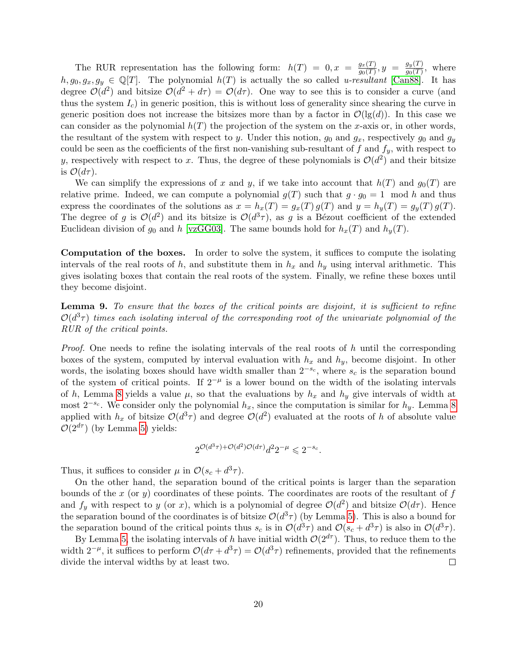The RUR representation has the following form:  $h(T) = 0, x = \frac{g_x(T)}{g_0(T)}$  $\frac{g_x(T)}{g_0(T)}, y = \frac{g_y(T)}{g_0(T)}$  $\frac{g_y(1)}{g_0(T)}$ , where  $h, g_0, g_x, g_y \in \mathbb{Q}[T]$ . The polynomial  $h(T)$  is actually the so called u-resultant [\[Can88\]](#page-29-13). It has degree  $\mathcal{O}(d^2)$  and bitsize  $\mathcal{O}(d^2 + d\tau) = \mathcal{O}(d\tau)$ . One way to see this is to consider a curve (and thus the system  $I_c$ ) in generic position, this is without loss of generality since shearing the curve in generic position does not increase the bitsizes more than by a factor in  $\mathcal{O}(\mathrm{lg}(d))$ . In this case we can consider as the polynomial  $h(T)$  the projection of the system on the x-axis or, in other words, the resultant of the system with respect to y. Under this notion,  $g_0$  and  $g_x$ , respectively  $g_0$  and  $g_y$ could be seen as the coefficients of the first non-vanishing sub-resultant of f and  $f_y$ , with respect to y, respectively with respect to x. Thus, the degree of these polynomials is  $\mathcal{O}(d^2)$  and their bitsize is  $\mathcal{O}(d\tau)$ .

We can simplify the expressions of x and y, if we take into account that  $h(T)$  and  $g_0(T)$  are relative prime. Indeed, we can compute a polynomial  $g(T)$  such that  $g \cdot g_0 = 1 \mod h$  and thus express the coordinates of the solutions as  $x = h_x(T) = g_x(T) g(T)$  and  $y = h_y(T) = g_y(T) g(T)$ . The degree of g is  $\mathcal{O}(d^2)$  and its bitsize is  $\mathcal{O}(d^3\tau)$ , as g is a Bézout coefficient of the extended Euclidean division of  $g_0$  and h [\[vzGG03\]](#page-32-9). The same bounds hold for  $h_x(T)$  and  $h_y(T)$ .

Computation of the boxes. In order to solve the system, it suffices to compute the isolating intervals of the real roots of h, and substitute them in  $h_x$  and  $h_y$  using interval arithmetic. This gives isolating boxes that contain the real roots of the system. Finally, we refine these boxes until they become disjoint.

<span id="page-20-0"></span>Lemma 9. To ensure that the boxes of the critical points are disjoint, it is sufficient to refine  $\mathcal{O}(d^3\tau)$  times each isolating interval of the corresponding root of the univariate polynomial of the RUR of the critical points.

*Proof.* One needs to refine the isolating intervals of the real roots of h until the corresponding boxes of the system, computed by interval evaluation with  $h_x$  and  $h_y$ , become disjoint. In other words, the isolating boxes should have width smaller than  $2^{-s_c}$ , where  $s_c$  is the separation bound of the system of critical points. If  $2^{-\mu}$  is a lower bound on the width of the isolating intervals of h, Lemma [8](#page-19-1) yields a value  $\mu$ , so that the evaluations by  $h_x$  and  $h_y$  give intervals of width at most  $2^{-s_c}$ . We consider only the polynomial  $h_x$ , since the computation is similar for  $h_y$ . Lemma [8](#page-19-1) applied with  $h_x$  of bitsize  $\mathcal{O}(d^3\tau)$  and degree  $\mathcal{O}(d^2)$  evaluated at the roots of h of absolute value  $\mathcal{O}(2^{d\tau})$  (by Lemma [5\)](#page-19-2) yields:

$$
2^{\mathcal{O}(d^3\tau) + \mathcal{O}(d^2)\mathcal{O}(d\tau)}d^2 2^{-\mu} \leqslant 2^{-s_c}.
$$

Thus, it suffices to consider  $\mu$  in  $\mathcal{O}(s_c + d^3 \tau)$ .

On the other hand, the separation bound of the critical points is larger than the separation bounds of the x (or y) coordinates of these points. The coordinates are roots of the resultant of  $f$ and  $f_y$  with respect to y (or x), which is a polynomial of degree  $\mathcal{O}(d^2)$  and bitsize  $\mathcal{O}(d\tau)$ . Hence the separation bound of the coordinates is of bitsize  $\mathcal{O}(d^3\tau)$  (by Lemma [5\)](#page-19-2). This is also a bound for the separation bound of the critical points thus  $s_c$  is in  $\mathcal{O}(d^3\tau)$  and  $\mathcal{O}(s_c + d^3\tau)$  is also in  $\mathcal{O}(d^3\tau)$ .

By Lemma [5,](#page-19-2) the isolating intervals of h have initial width  $\mathcal{O}(2^{d\tau})$ . Thus, to reduce them to the width  $2^{-\mu}$ , it suffices to perform  $\mathcal{O}(d\tau + d^3\tau) = \mathcal{O}(d^3\tau)$  refinements, provided that the refinements divide the interval widths by at least two.  $\Box$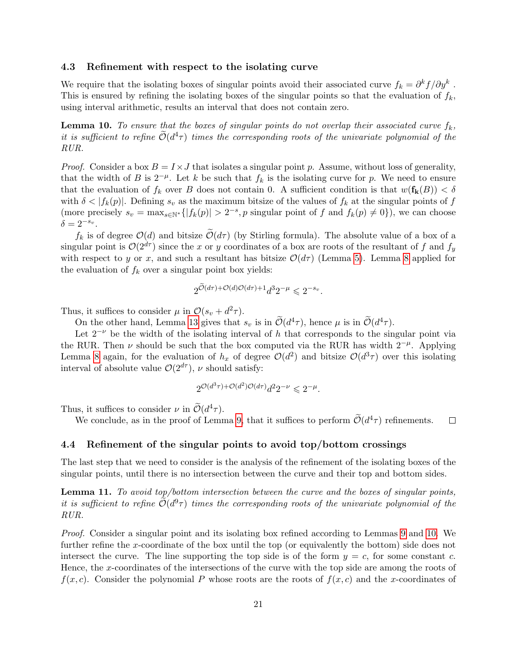#### <span id="page-21-0"></span>4.3 Refinement with respect to the isolating curve

We require that the isolating boxes of singular points avoid their associated curve  $f_k = \partial^k f / \partial y^k$ . This is ensured by refining the isolating boxes of the singular points so that the evaluation of  $f_k$ , using interval arithmetic, results an interval that does not contain zero.

<span id="page-21-2"></span>**Lemma 10.** To ensure that the boxes of singular points do not overlap their associated curve  $f_k$ , it is sufficient to refine  $\mathcal{O}(d^4\tau)$  times the corresponding roots of the univariate polynomial of the RUR.

*Proof.* Consider a box  $B = I \times J$  that isolates a singular point p. Assume, without loss of generality, that the width of B is  $2^{-\mu}$ . Let k be such that  $f_k$  is the isolating curve for p. We need to ensure that the evaluation of  $f_k$  over B does not contain 0. A sufficient condition is that  $w(\mathbf{f_k}(B)) < \delta$ with  $\delta < |f_k(p)|$ . Defining  $s_v$  as the maximum bitsize of the values of  $f_k$  at the singular points of f (more precisely  $s_v = \max_{s \in \mathbb{N}^*} \{ |f_k(p)| > 2^{-s}, p \text{ singular point of } f \text{ and } f_k(p) \neq 0 \}$ ), we can choose  $\delta = 2^{-s_v}.$ 

 $f_k$  is of degree  $\mathcal{O}(d)$  and bitsize  $\widetilde{\mathcal{O}}(d\tau)$  (by Stirling formula). The absolute value of a box of a singular point is  $\mathcal{O}(2^{d\tau})$  since the x or y coordinates of a box are roots of the resultant of f and  $f_y$ with respect to y or x, and such a resultant has bitsize  $\mathcal{O}(d\tau)$  (Lemma [5\)](#page-19-2). Lemma [8](#page-19-1) applied for the evaluation of  $f_k$  over a singular point box yields:

$$
2^{\widetilde{\mathcal{O}}(d\tau) + \mathcal{O}(d)\mathcal{O}(d\tau) + 1}d^3 2^{-\mu} \leq 2^{-s_v}.
$$

Thus, it suffices to consider  $\mu$  in  $\mathcal{O}(s_v + d^2 \tau)$ .

On the other hand, Lemma [13](#page-23-0) gives that  $s_v$  is in  $\mathcal{O}(d^4\tau)$ , hence  $\mu$  is in  $\mathcal{O}(d^4\tau)$ .

Let  $2^{-\nu}$  be the width of the isolating interval of h that corresponds to the singular point via the RUR. Then  $\nu$  should be such that the box computed via the RUR has width  $2^{-\mu}$ . Applying Lemma [8](#page-19-1) again, for the evaluation of  $h_x$  of degree  $\mathcal{O}(d^2)$  and bitsize  $\mathcal{O}(d^3\tau)$  over this isolating interval of absolute value  $\mathcal{O}(2^{d\tau})$ ,  $\nu$  should satisfy:

$$
2^{\mathcal{O}(d^3\tau)+\mathcal{O}(d^2)\mathcal{O}(d\tau)}d^22^{-\nu}\leqslant 2^{-\mu}.
$$

Thus, it suffices to consider  $\nu$  in  $\mathcal{O}(d^4\tau)$ .

We conclude, as in the proof of Lemma [9,](#page-20-0) that it suffices to perform  $\tilde{\mathcal{O}}(d^4\tau)$  refinements.  $\Box$ 

#### <span id="page-21-1"></span>4.4 Refinement of the singular points to avoid top/bottom crossings

The last step that we need to consider is the analysis of the refinement of the isolating boxes of the singular points, until there is no intersection between the curve and their top and bottom sides.

<span id="page-21-3"></span>Lemma 11. To avoid top/bottom intersection between the curve and the boxes of singular points, it is sufficient to refine  $\mathcal{O}(d^9\tau)$  times the corresponding roots of the univariate polynomial of the RUR.

Proof. Consider a singular point and its isolating box refined according to Lemmas [9](#page-20-0) and [10.](#page-21-2) We further refine the x-coordinate of the box until the top (or equivalently the bottom) side does not intersect the curve. The line supporting the top side is of the form  $y = c$ , for some constant c. Hence, the x-coordinates of the intersections of the curve with the top side are among the roots of  $f(x, c)$ . Consider the polynomial P whose roots are the roots of  $f(x, c)$  and the x-coordinates of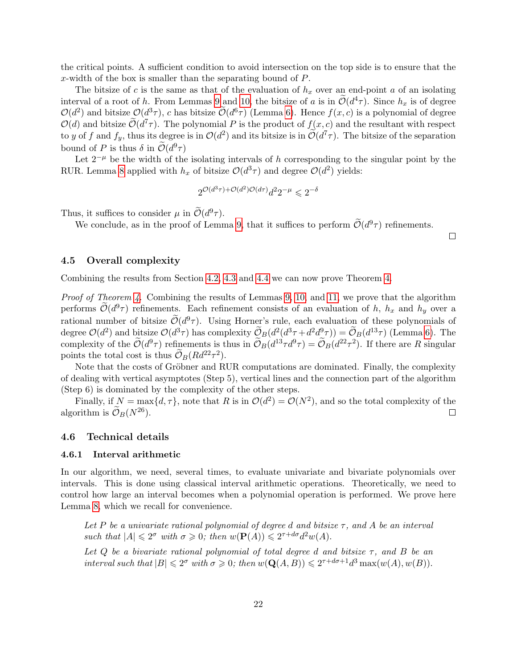the critical points. A sufficient condition to avoid intersection on the top side is to ensure that the x-width of the box is smaller than the separating bound of P.

The bitsize of c is the same as that of the evaluation of  $h_x$  over an end-point a of an isolating interval of a root of h. From Lemmas [9](#page-20-0) and [10,](#page-21-2) the bitsize of a is in  $\mathcal{O}(d^4\tau)$ . Since  $h_x$  is of degree  $\mathcal{O}(d^2)$  and bitsize  $\mathcal{O}(d^3\tau)$ , c has bitsize  $\mathcal{O}(d^6\tau)$  (Lemma [6\)](#page-19-3). Hence  $f(x, c)$  is a polynomial of degree  $\mathcal{O}(d)$  and bitsize  $\widetilde{\mathcal{O}}(d^7\tau)$ . The polynomial P is the product of  $f(x, c)$  and the resultant with respect to y of f and  $f_y$ , thus its degree is in  $\mathcal{O}(d^2)$  and its bitsize is in  $\widetilde{\mathcal{O}}(d^7\tau)$ . The bitsize of the separation bound of P is thus  $\delta$  in  $\mathcal{O}(d^9\tau)$ 

Let  $2^{-\mu}$  be the width of the isolating intervals of h corresponding to the singular point by the RUR. Lemma [8](#page-19-1) applied with  $h_x$  of bitsize  $\mathcal{O}(d^3\tau)$  and degree  $\mathcal{O}(d^2)$  yields:

$$
2^{\mathcal{O}(d^3\tau)+\mathcal{O}(d^2)\mathcal{O}(d\tau)}d^22^{-\mu}\leqslant 2^{-\delta}
$$

Thus, it suffices to consider  $\mu$  in  $\tilde{\mathcal{O}}(d^9\tau)$ .

We conclude, as in the proof of Lemma [9,](#page-20-0) that it suffices to perform  $\tilde{\mathcal{O}}(d^9\tau)$  refinements.

 $\Box$ 

#### <span id="page-22-0"></span>4.5 Overall complexity

Combining the results from Section [4.2,](#page-19-0) [4.3](#page-21-0) and [4.4](#page-21-1) we can now prove Theorem [4.](#page-18-0)

Proof of Theorem [4.](#page-18-0) Combining the results of Lemmas [9,](#page-20-0) [10,](#page-21-2) and [11,](#page-21-3) we prove that the algorithm performs  $\widetilde{\mathcal{O}}(d^9\tau)$  refinements. Each refinement consists of an evaluation of h,  $h_x$  and  $h_y$  over a rational number of bitsize  $\widetilde{\mathcal{O}}(d^9\tau)$ . Using Horner's rule, each evaluation of these polynomials of degree  $\mathcal{O}(d^2)$  and bitsize  $\mathcal{O}(d^3\tau)$  has complexity  $\tilde{\mathcal{O}}_B(d^2(d^3\tau+d^2d^9\tau)) = \tilde{\mathcal{O}}_B(d^{13}\tau)$  (Lemma [6\)](#page-19-3). The complexity of the  $\tilde{\mathcal{O}}(d^9\tau)$  refinements is thus in  $\tilde{\mathcal{O}}_B(d^{13}\tau d^9\tau) = \tilde{\mathcal{O}}_B(d^{22}\tau^2)$ . If there are R singular points the total cost is thus  $\widetilde{\mathcal{O}}_B(Rd^{22}\tau^2)$ .

Note that the costs of Gröbner and RUR computations are dominated. Finally, the complexity of dealing with vertical asymptotes (Step 5), vertical lines and the connection part of the algorithm (Step 6) is dominated by the complexity of the other steps.

Finally, if  $N = \max\{d, \tau\}$ , note that R is in  $\mathcal{O}(d^2) = \mathcal{O}(N^2)$ , and so the total complexity of the algorithm is  $\mathcal{O}_B(N^{26})$ .  $\Box$ 

#### <span id="page-22-1"></span>4.6 Technical details

#### 4.6.1 Interval arithmetic

In our algorithm, we need, several times, to evaluate univariate and bivariate polynomials over intervals. This is done using classical interval arithmetic operations. Theoretically, we need to control how large an interval becomes when a polynomial operation is performed. We prove here Lemma [8,](#page-19-1) which we recall for convenience.

Let P be a univariate rational polynomial of degree d and bitsize  $\tau$ , and A be an interval such that  $|A| \leq 2^{\sigma}$  with  $\sigma \geq 0$ ; then  $w(\mathbf{P}(A)) \leq 2^{\tau+d\sigma} d^2w(A)$ .

Let Q be a bivariate rational polynomial of total degree d and bitsize  $\tau$ , and B be an interval such that  $|B| \leq 2^{\sigma}$  with  $\sigma \geq 0$ ; then  $w(\mathbf{Q}(A, B)) \leq 2^{\tau+d\sigma+1}d^3 \max(w(A), w(B)).$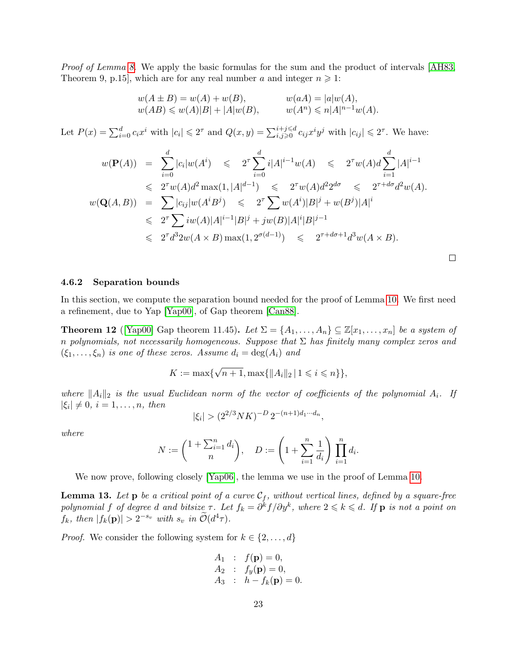Proof of Lemma [8.](#page-19-1) We apply the basic formulas for the sum and the product of intervals [\[AH83,](#page-29-11) Theorem 9, p.15], which are for any real number a and integer  $n \geq 1$ :

$$
w(A \pm B) = w(A) + w(B),
$$
  $w(aA) = |a|w(A),$   
\n $w(AB) \le w(A)|B| + |A|w(B),$   $w(A^n) \le n|A|^{n-1}w(A).$ 

Let  $P(x) = \sum_{i=0}^{d} c_i x^i$  with  $|c_i| \leq 2^{\tau}$  and  $Q(x, y) = \sum_{i,j\geqslant 0}^{i+j\leqslant d} c_{ij} x^i y^j$  with  $|c_{ij}| \leqslant 2^{\tau}$ . We have:

$$
w(\mathbf{P}(A)) = \sum_{i=0}^{d} |c_i|w(A^i) \le 2^{\tau} \sum_{i=0}^{d} i|A|^{i-1}w(A) \le 2^{\tau}w(A)d \sum_{i=1}^{d} |A|^{i-1}
$$
  
\n
$$
\le 2^{\tau}w(A)d^2 \max(1, |A|^{d-1}) \le 2^{\tau}w(A)d^2 2^{d\sigma} \le 2^{\tau+d\sigma}d^2w(A).
$$
  
\n
$$
w(\mathbf{Q}(A, B)) = \sum |c_{ij}|w(A^i B^j) \le 2^{\tau} \sum w(A^i)|B|^j + w(B^j)|A|^i
$$
  
\n
$$
\le 2^{\tau} \sum iw(A)|A|^{i-1}|B|^j + jw(B)|A|^i|B|^{j-1}
$$
  
\n
$$
\le 2^{\tau}d^3 2w(A \times B) \max(1, 2^{\sigma(d-1)}) \le 2^{\tau+d\sigma+1}d^3w(A \times B).
$$

 $\Box$ 

#### 4.6.2 Separation bounds

In this section, we compute the separation bound needed for the proof of Lemma [10.](#page-21-2) We first need a refinement, due to Yap [\[Yap00\]](#page-32-8), of Gap theorem [\[Can88\]](#page-29-13).

<span id="page-23-1"></span>**Theorem 12** ([\[Yap00\]](#page-32-8) Gap theorem 11.45). Let  $\Sigma = \{A_1, \ldots, A_n\} \subseteq \mathbb{Z}[x_1, \ldots, x_n]$  be a system of n polynomials, not necessarily homogeneous. Suppose that  $\Sigma$  has finitely many complex zeros and  $(\xi_1, \ldots, \xi_n)$  is one of these zeros. Assume  $d_i = \deg(A_i)$  and

$$
K := \max\{\sqrt{n+1}, \max\{\|A_i\|_2 \mid 1 \leq i \leq n\}\},\
$$

where  $||A_i||_2$  is the usual Euclidean norm of the vector of coefficients of the polynomial  $A_i$ . If  $|\xi_i| \neq 0, i = 1, \ldots, n, \text{ then}$ 

$$
|\xi_i| > (2^{2/3}NK)^{-D} 2^{-(n+1)d_1 \cdots d_n},
$$

where

$$
N := \binom{1 + \sum_{i=1}^{n} d_i}{n}, \quad D := \left(1 + \sum_{i=1}^{n} \frac{1}{d_i}\right) \prod_{i=1}^{n} d_i.
$$

We now prove, following closely [\[Yap06\]](#page-32-10), the lemma we use in the proof of Lemma [10.](#page-21-2)

<span id="page-23-0"></span>**Lemma 13.** Let **p** be a critical point of a curve  $C_f$ , without vertical lines, defined by a square-free polynomial f of degree d and bitsize  $\tau$ . Let  $f_k = \partial^k f / \partial y^k$ , where  $2 \leqslant k \leqslant d$ . If  ${\bf p}$  is not a point on  $f_k$ , then  $|f_k(\mathbf{p})| > 2^{-s_v}$  with  $s_v$  in  $\widetilde{\mathcal{O}}(d^4\tau)$ .

*Proof.* We consider the following system for  $k \in \{2, \ldots, d\}$ 

$$
A_1 : f(\mathbf{p}) = 0,A_2 : f_y(\mathbf{p}) = 0,A_3 : h - f_k(\mathbf{p}) = 0.
$$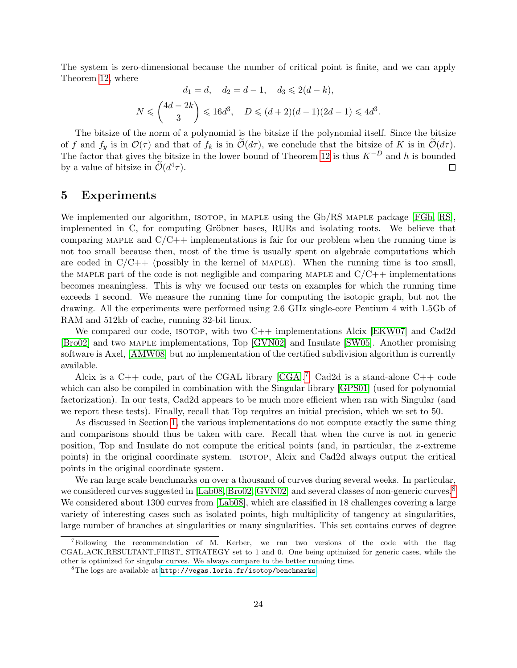The system is zero-dimensional because the number of critical point is finite, and we can apply Theorem [12,](#page-23-1) where

$$
d_1 = d, \quad d_2 = d - 1, \quad d_3 \leq 2(d - k),
$$
  

$$
N \leq \binom{4d - 2k}{3} \leq 16d^3, \quad D \leq (d + 2)(d - 1)(2d - 1) \leq 4d^3.
$$

The bitsize of the norm of a polynomial is the bitsize if the polynomial itself. Since the bitsize of f and  $f_y$  is in  $\mathcal{O}(\tau)$  and that of  $f_k$  is in  $\mathcal{O}(d\tau)$ , we conclude that the bitsize of K is in  $\mathcal{O}(d\tau)$ . The factor that gives the bitsize in the lower bound of Theorem [12](#page-23-1) is thus  $K^{-D}$  and h is bounded by a value of bitsize in  $\tilde{\mathcal{O}}(d^4\tau)$ .  $\Box$ 

### <span id="page-24-0"></span>5 Experiments

We implemented our algorithm, ISOTOP, in MAPLE using the Gb/RS MAPLE package [\[FGb,](#page-30-11) [RS\]](#page-32-7), implemented in C, for computing Gröbner bases, RURs and isolating roots. We believe that comparing MAPLE and  $C/C++$  implementations is fair for our problem when the running time is not too small because then, most of the time is usually spent on algebraic computations which are coded in  $C/C++$  (possibly in the kernel of MAPLE). When the running time is too small, the MAPLE part of the code is not negligible and comparing MAPLE and  $C/C++$  implementations becomes meaningless. This is why we focused our tests on examples for which the running time exceeds 1 second. We measure the running time for computing the isotopic graph, but not the drawing. All the experiments were performed using 2.6 GHz single-core Pentium 4 with 1.5Gb of RAM and 512kb of cache, running 32-bit linux.

We compared our code, ISOTOP, with two C<sup>++</sup> implementations Alcix [\[EKW07\]](#page-30-2) and Cad2d [\[Bro02\]](#page-29-14) and two maple implementations, Top [\[GVN02\]](#page-31-2) and Insulate [\[SW05\]](#page-32-3). Another promising software is Axel, [\[AMW08\]](#page-29-0) but no implementation of the certified subdivision algorithm is currently available.

Alcix is a C++ code, part of the CGAL library  $[CGA].<sup>7</sup>$  $[CGA].<sup>7</sup>$  $[CGA].<sup>7</sup>$  Cad2d is a stand-alone C++ code which can also be compiled in combination with the Singular library [\[GPS01\]](#page-31-12) (used for polynomial factorization). In our tests, Cad2d appears to be much more efficient when ran with Singular (and we report these tests). Finally, recall that Top requires an initial precision, which we set to 50.

As discussed in Section [1,](#page-1-0) the various implementations do not compute exactly the same thing and comparisons should thus be taken with care. Recall that when the curve is not in generic position, Top and Insulate do not compute the critical points (and, in particular, the x-extreme points) in the original coordinate system. isotop, Alcix and Cad2d always output the critical points in the original coordinate system.

We ran large scale benchmarks on over a thousand of curves during several weeks. In particular, we considered curves suggested in [\[Lab08,](#page-31-13) [Bro02,](#page-29-14) [GVN02\]](#page-31-2) and several classes of non-generic curves.<sup>[8](#page-24-2)</sup> We considered about 1300 curves from [\[Lab08\]](#page-31-13), which are classified in 18 challenges covering a large variety of interesting cases such as isolated points, high multiplicity of tangency at singularities, large number of branches at singularities or many singularities. This set contains curves of degree

<span id="page-24-1"></span><sup>7</sup>Following the recommendation of M. Kerber, we ran two versions of the code with the flag CGAL ACK RESULTANT FIRST STRATEGY set to 1 and 0. One being optimized for generic cases, while the other is optimized for singular curves. We always compare to the better running time.

<span id="page-24-2"></span> ${}^{8}$ The logs are available at <http://vegas.loria.fr/isotop/benchmarks>.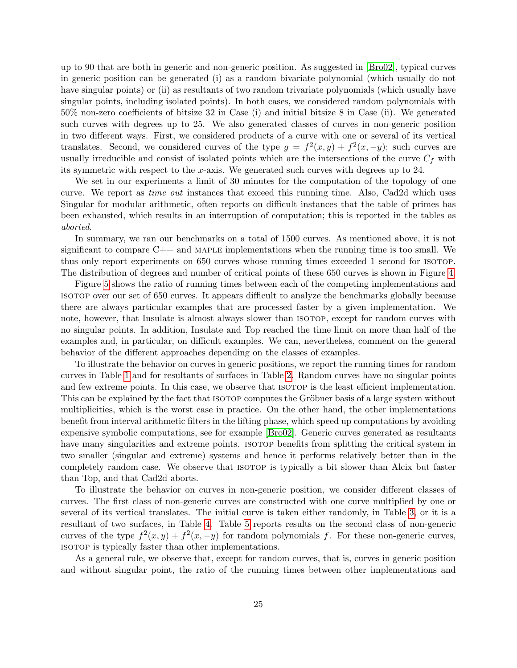up to 90 that are both in generic and non-generic position. As suggested in [\[Bro02\]](#page-29-14), typical curves in generic position can be generated (i) as a random bivariate polynomial (which usually do not have singular points) or (ii) as resultants of two random trivariate polynomials (which usually have singular points, including isolated points). In both cases, we considered random polynomials with 50% non-zero coefficients of bitsize 32 in Case (i) and initial bitsize 8 in Case (ii). We generated such curves with degrees up to 25. We also generated classes of curves in non-generic position in two different ways. First, we considered products of a curve with one or several of its vertical translates. Second, we considered curves of the type  $g = f^2(x, y) + f^2(x, -y)$ ; such curves are usually irreducible and consist of isolated points which are the intersections of the curve  $C_f$  with its symmetric with respect to the x-axis. We generated such curves with degrees up to 24.

We set in our experiments a limit of 30 minutes for the computation of the topology of one curve. We report as time out instances that exceed this running time. Also, Cad2d which uses Singular for modular arithmetic, often reports on difficult instances that the table of primes has been exhausted, which results in an interruption of computation; this is reported in the tables as aborted.

In summary, we ran our benchmarks on a total of 1500 curves. As mentioned above, it is not significant to compare  $C_{++}$  and MAPLE implementations when the running time is too small. We thus only report experiments on 650 curves whose running times exceeded 1 second for isotop. The distribution of degrees and number of critical points of these 650 curves is shown in Figure [4.](#page-27-0)

Figure [5](#page-27-1) shows the ratio of running times between each of the competing implementations and isotop over our set of 650 curves. It appears difficult to analyze the benchmarks globally because there are always particular examples that are processed faster by a given implementation. We note, however, that Insulate is almost always slower than isotop, except for random curves with no singular points. In addition, Insulate and Top reached the time limit on more than half of the examples and, in particular, on difficult examples. We can, nevertheless, comment on the general behavior of the different approaches depending on the classes of examples.

To illustrate the behavior on curves in generic positions, we report the running times for random curves in Table [1](#page-28-0) and for resultants of surfaces in Table [2.](#page-28-1) Random curves have no singular points and few extreme points. In this case, we observe that isotop is the least efficient implementation. This can be explained by the fact that ISOTOP computes the Gröbner basis of a large system without multiplicities, which is the worst case in practice. On the other hand, the other implementations benefit from interval arithmetic filters in the lifting phase, which speed up computations by avoiding expensive symbolic computations, see for example [\[Bro02\]](#page-29-14). Generic curves generated as resultants have many singularities and extreme points. ISOTOP benefits from splitting the critical system in two smaller (singular and extreme) systems and hence it performs relatively better than in the completely random case. We observe that isotop is typically a bit slower than Alcix but faster than Top, and that Cad2d aborts.

To illustrate the behavior on curves in non-generic position, we consider different classes of curves. The first class of non-generic curves are constructed with one curve multiplied by one or several of its vertical translates. The initial curve is taken either randomly, in Table [3,](#page-28-2) or it is a resultant of two surfaces, in Table [4.](#page-28-3) Table [5](#page-28-4) reports results on the second class of non-generic curves of the type  $f^2(x, y) + f^2(x, -y)$  for random polynomials f. For these non-generic curves, isotop is typically faster than other implementations.

As a general rule, we observe that, except for random curves, that is, curves in generic position and without singular point, the ratio of the running times between other implementations and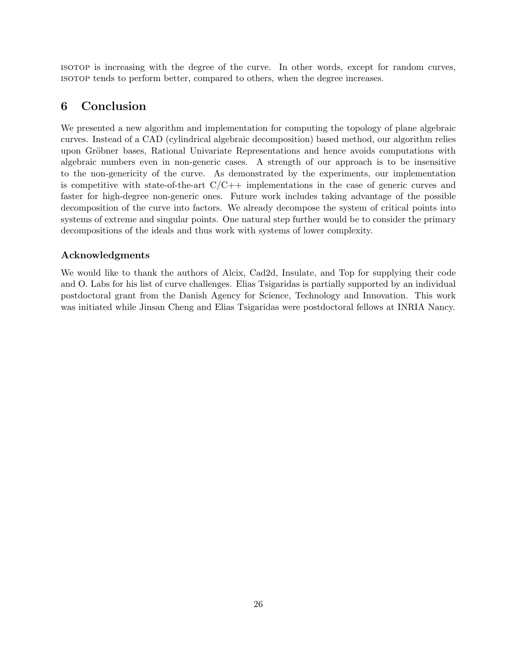isotop is increasing with the degree of the curve. In other words, except for random curves, isotop tends to perform better, compared to others, when the degree increases.

# 6 Conclusion

We presented a new algorithm and implementation for computing the topology of plane algebraic curves. Instead of a CAD (cylindrical algebraic decomposition) based method, our algorithm relies upon Gröbner bases, Rational Univariate Representations and hence avoids computations with algebraic numbers even in non-generic cases. A strength of our approach is to be insensitive to the non-genericity of the curve. As demonstrated by the experiments, our implementation is competitive with state-of-the-art  $C/C++$  implementations in the case of generic curves and faster for high-degree non-generic ones. Future work includes taking advantage of the possible decomposition of the curve into factors. We already decompose the system of critical points into systems of extreme and singular points. One natural step further would be to consider the primary decompositions of the ideals and thus work with systems of lower complexity.

### Acknowledgments

We would like to thank the authors of Alcix, Cad2d, Insulate, and Top for supplying their code and O. Labs for his list of curve challenges. Elias Tsigaridas is partially supported by an individual postdoctoral grant from the Danish Agency for Science, Technology and Innovation. This work was initiated while Jinsan Cheng and Elias Tsigaridas were postdoctoral fellows at INRIA Nancy.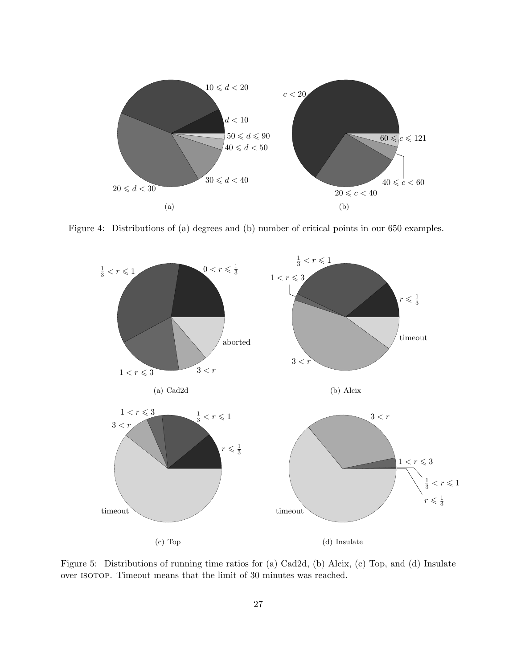

<span id="page-27-0"></span>Figure 4: Distributions of (a) degrees and (b) number of critical points in our 650 examples.



<span id="page-27-1"></span>Figure 5: Distributions of running time ratios for (a) Cad2d, (b) Alcix, (c) Top, and (d) Insulate over ISOTOP. Timeout means that the limit of 30 minutes was reached.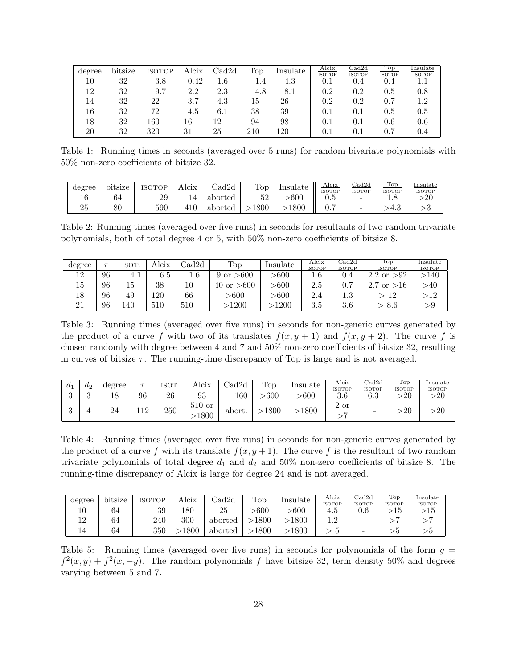<span id="page-28-0"></span>

| degree | bitsize | ISOTOP | Alcix | $\rm Cadd2d$ | Top | Insulate | Alcix<br><b>ISOTOP</b> | $_{\rm Cadd2d}$<br><b>ISOTOP</b> | Top<br><b>ISOTOP</b> | Insulate<br><b>ISOTOP</b> |
|--------|---------|--------|-------|--------------|-----|----------|------------------------|----------------------------------|----------------------|---------------------------|
| 10     | 32      | 3.8    | 0.42  | $1.6\,$      | 1.4 | 4.3      | $\rm 0.1$              | 0.4                              | 0.4                  |                           |
| 12     | 32      | 9.7    | 2.2   | 2.3          | 4.8 | 8.1      | $0.2\,$                | $0.2\,$                          | $\rm 0.5$            | $0.8\,$                   |
| 14     | 32      | 22     | 3.7   | 4.3          | 15  | 26       | 0.2                    | $0.2\,$                          | 0.7                  | $1.2\,$                   |
| 16     | 32      | 72     | 4.5   | $6.1\,$      | 38  | 39       | $0.1\,$                | $0.1\,$                          | $0.5\,$              | $0.5\,$                   |
| 18     | 32      | 160    | 16    | 12           | 94  | 98       | $0.1\,$                | $0.1\,$                          | 0.6                  | $0.6\,$                   |
| 20     | 32      | 320    | 31    | 25           | 210 | 120      | $\rm 0.1$              | $0.1\,$                          | $0.7\,$              | 0.4                       |

Table 1: Running times in seconds (averaged over 5 runs) for random bivariate polynomials with 50% non-zero coefficients of bitsize 32.

<span id="page-28-1"></span>

| degree | .<br>bitsize | <b>ISOTOP</b> | Alcix | 2d      | Top  | Insulate | Alcix<br><b>ISOTOP</b> | $_{\rm Cadd2d}$<br><b>ISOTOP</b> | Top<br><b>ISOTOP</b> | Insulate<br><b>ISOTOP</b> |
|--------|--------------|---------------|-------|---------|------|----------|------------------------|----------------------------------|----------------------|---------------------------|
| ΤO     | 64           | 29            |       | aborted | 52   | $-600$   | ∪.⊍                    | -                                | ⊥∙∪                  | -20                       |
| ∠⊌     | $_{\rm 80}$  | 590           | 410   | aborted | 1800 | 1800     | 0.                     | -                                | –±.ա                 | v                         |

Table 2: Running times (averaged over five runs) in seconds for resultants of two random trivariate polynomials, both of total degree 4 or 5, with 50% non-zero coefficients of bitsize 8.

<span id="page-28-2"></span>

| degree | $\tau$ | ISOT. | Alcix   | $\mathrm{Cad}2\mathrm{d}$ | $\operatorname{Top}$   | Insulate   | Alcix<br><b>ISOTOP</b> | $_{\rm Cad2d}$<br><b>ISOTOP</b> | Top<br><b>ISOTOP</b>         | Insulate<br><b>ISOTOP</b> |
|--------|--------|-------|---------|---------------------------|------------------------|------------|------------------------|---------------------------------|------------------------------|---------------------------|
| 19     | 96     | 4.1   | 6.5     | $1.6\,$                   | >600<br>9 or           | $>\!\!600$ | $1.6\,$                | U.4                             | >!92<br>2.2<br><sub>or</sub> | $>\!\!140$                |
| 15     | 96     | 15    | 38      | 10                        | $>\!\!600$<br>40<br>or | $>\!\!600$ | 2.5                    | −<br>U. 1                       | <b>or</b>                    | $>\!\!40$                 |
|        | 96     | 49    | 120     | 66                        | $>\!\!600$             | -600       | 2.4                    | $\Omega$<br>1.J                 | 12                           | $>\!12$                   |
|        | 96     | .40   | $510\,$ | 510                       | $>\!\!1200$            | 1200       | 25<br>∙.⊍              | 3.6                             | 8.6                          | >9                        |

Table 3: Running times (averaged over five runs) in seconds for non-generic curves generated by the product of a curve f with two of its translates  $f(x, y + 1)$  and  $f(x, y + 2)$ . The curve f is chosen randomly with degree between 4 and 7 and 50% non-zero coefficients of bitsize 32, resulting in curves of bitsize  $\tau$ . The running-time discrepancy of Top is large and is not averaged.

| $a_1$ | $a_2$    | degree | $\overline{\phantom{0}}$ | <b>ISOT</b> | Alcix            | 'ad2d  | Top   | Insulate   | Alcix<br><b>ISOTOP</b> | $_{\rm Cadd2d}$<br><b>ISOTOP</b> | Top<br><b>ISOTOP</b> | lnsulate<br><b>ISOTOP</b> |
|-------|----------|--------|--------------------------|-------------|------------------|--------|-------|------------|------------------------|----------------------------------|----------------------|---------------------------|
|       | $\Omega$ | 18     | 96                       | 26          | 93               | 160    | -600  | $>\!\!600$ | 3.6                    | $\alpha$ $\alpha$<br>0.3         | >20                  | >20                       |
|       |          | 24     | 112                      | 250         | $510$ or<br>1800 | abort. | >1800 | 1800       | ົ<br>2 or              | -                                | $\cdot 20$           | $\cdot 20$                |

<span id="page-28-3"></span>Table 4: Running times (averaged over five runs) in seconds for non-generic curves generated by the product of a curve f with its translate  $f(x, y + 1)$ . The curve f is the resultant of two random trivariate polynomials of total degree  $d_1$  and  $d_2$  and 50% non-zero coefficients of bitsize 8. The running-time discrepancy of Alcix is large for degree 24 and is not averaged.

<span id="page-28-4"></span>

| degree | bitsize | ISOTOP | Alcix | 2d      | $\operatorname{Top}$ | Insulate | Alcix<br><b>ISOTOP</b> | $_{\rm 2ad2d}$<br><b>ISOTOP</b> | Top<br><b>ISOTOP</b> | Insulate<br>ISOTOP |
|--------|---------|--------|-------|---------|----------------------|----------|------------------------|---------------------------------|----------------------|--------------------|
|        | 64      | 39     | 180   | 25      | -600                 | -600     | 4.5                    | U.O                             | TΘ                   | L5                 |
| 1 ດ    | 64      | 240    | 300   | aborted | 1800                 | .800     | ເດ                     | -                               |                      |                    |
|        | 64      | 350    | 1800  | aborted | 1800                 | 800      |                        | -                               |                      |                    |

Table 5: Running times (averaged over five runs) in seconds for polynomials of the form  $g =$  $f^{2}(x, y) + f^{2}(x, -y)$ . The random polynomials f have bitsize 32, term density 50% and degrees varying between 5 and 7.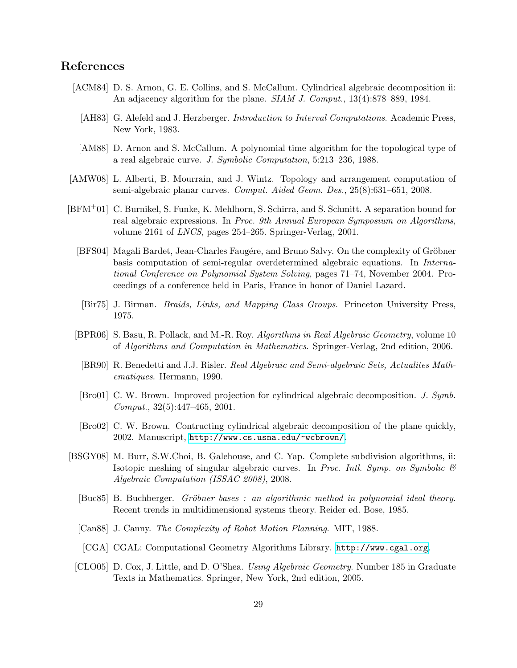# References

- <span id="page-29-11"></span><span id="page-29-6"></span>[ACM84] D. S. Arnon, G. E. Collins, and S. McCallum. Cylindrical algebraic decomposition ii: An adjacency algorithm for the plane. *SIAM J. Comput.*, 13(4):878–889, 1984.
	- [AH83] G. Alefeld and J. Herzberger. *Introduction to Interval Computations*. Academic Press, New York, 1983.
	- [AM88] D. Arnon and S. McCallum. A polynomial time algorithm for the topological type of a real algebraic curve. J. Symbolic Computation, 5:213–236, 1988.
- <span id="page-29-3"></span><span id="page-29-0"></span>[AMW08] L. Alberti, B. Mourrain, and J. Wintz. Topology and arrangement computation of semi-algebraic planar curves. Comput. Aided Geom. Des., 25(8):631–651, 2008.
- <span id="page-29-12"></span><span id="page-29-7"></span><span id="page-29-4"></span><span id="page-29-2"></span>[BFM+01] C. Burnikel, S. Funke, K. Mehlhorn, S. Schirra, and S. Schmitt. A separation bound for real algebraic expressions. In Proc. 9th Annual European Symposium on Algorithms, volume 2161 of LNCS, pages 254–265. Springer-Verlag, 2001.
	- [BFS04] Magali Bardet, Jean-Charles Faugére, and Bruno Salvy. On the complexity of Gröbner basis computation of semi-regular overdetermined algebraic equations. In International Conference on Polynomial System Solving, pages 71–74, November 2004. Proceedings of a conference held in Paris, France in honor of Daniel Lazard.
	- [Bir75] J. Birman. Braids, Links, and Mapping Class Groups. Princeton University Press, 1975.
	- [BPR06] S. Basu, R. Pollack, and M.-R. Roy. Algorithms in Real Algebraic Geometry, volume 10 of Algorithms and Computation in Mathematics. Springer-Verlag, 2nd edition, 2006.
	- [BR90] R. Benedetti and J.J. Risler. Real Algebraic and Semi-algebraic Sets, Actualites Mathematiques. Hermann, 1990.
	- [Bro01] C. W. Brown. Improved projection for cylindrical algebraic decomposition. J. Symb. Comput., 32(5):447–465, 2001.
	- [Bro02] C. W. Brown. Contructing cylindrical algebraic decomposition of the plane quickly, 2002. Manuscript, <http://www.cs.usna.edu/~wcbrown/>.
- <span id="page-29-14"></span><span id="page-29-10"></span><span id="page-29-8"></span><span id="page-29-5"></span><span id="page-29-1"></span>[BSGY08] M. Burr, S.W.Choi, B. Galehouse, and C. Yap. Complete subdivision algorithms, ii: Isotopic meshing of singular algebraic curves. In Proc. Intl. Symp. on Symbolic  $\mathcal{C}$ Algebraic Computation (ISSAC 2008), 2008.
	- [Buc85] B. Buchberger. Gröbner bases : an algorithmic method in polynomial ideal theory. Recent trends in multidimensional systems theory. Reider ed. Bose, 1985.
	- [Can88] J. Canny. The Complexity of Robot Motion Planning. MIT, 1988.
		- [CGA] CGAL: Computational Geometry Algorithms Library. <http://www.cgal.org>.
- <span id="page-29-15"></span><span id="page-29-13"></span><span id="page-29-9"></span>[CLO05] D. Cox, J. Little, and D. O'Shea. Using Algebraic Geometry. Number 185 in Graduate Texts in Mathematics. Springer, New York, 2nd edition, 2005.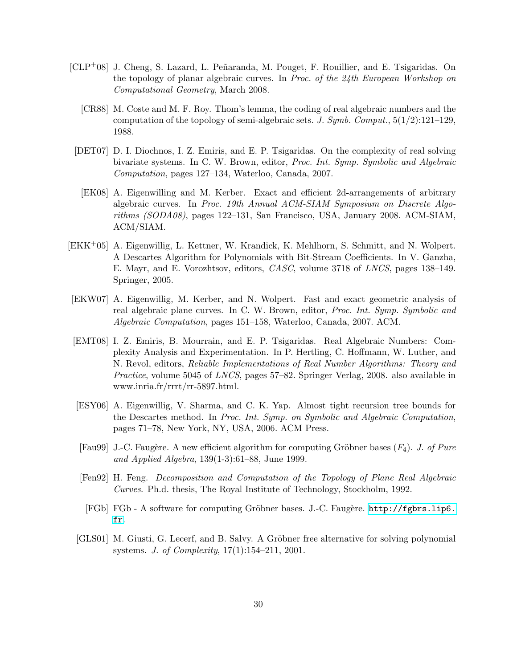- <span id="page-30-10"></span><span id="page-30-1"></span>[CLP+08] J. Cheng, S. Lazard, L. Peñaranda, M. Pouget, F. Rouillier, and E. Tsigaridas. On the topology of planar algebraic curves. In Proc. of the 24th European Workshop on Computational Geometry, March 2008.
	- [CR88] M. Coste and M. F. Roy. Thom's lemma, the coding of real algebraic numbers and the computation of the topology of semi-algebraic sets. J. Symb. Comput.,  $5(1/2):121-129$ , 1988.
- <span id="page-30-4"></span>[DET07] D. I. Diochnos, I. Z. Emiris, and E. P. Tsigaridas. On the complexity of real solving bivariate systems. In C. W. Brown, editor, Proc. Int. Symp. Symbolic and Algebraic Computation, pages 127–134, Waterloo, Canada, 2007.
- <span id="page-30-0"></span>[EK08] A. Eigenwilling and M. Kerber. Exact and efficient 2d-arrangements of arbitrary algebraic curves. In Proc. 19th Annual ACM-SIAM Symposium on Discrete Algorithms (SODA08), pages 122–131, San Francisco, USA, January 2008. ACM-SIAM, ACM/SIAM.
- <span id="page-30-5"></span>[EKK+05] A. Eigenwillig, L. Kettner, W. Krandick, K. Mehlhorn, S. Schmitt, and N. Wolpert. A Descartes Algorithm for Polynomials with Bit-Stream Coefficients. In V. Ganzha, E. Mayr, and E. Vorozhtsov, editors, CASC, volume 3718 of LNCS, pages 138–149. Springer, 2005.
- <span id="page-30-2"></span>[EKW07] A. Eigenwillig, M. Kerber, and N. Wolpert. Fast and exact geometric analysis of real algebraic plane curves. In C. W. Brown, editor, Proc. Int. Symp. Symbolic and Algebraic Computation, pages 151–158, Waterloo, Canada, 2007. ACM.
- <span id="page-30-8"></span>[EMT08] I. Z. Emiris, B. Mourrain, and E. P. Tsigaridas. Real Algebraic Numbers: Complexity Analysis and Experimentation. In P. Hertling, C. Hoffmann, W. Luther, and N. Revol, editors, Reliable Implementations of Real Number Algorithms: Theory and Practice, volume 5045 of LNCS, pages 57–82. Springer Verlag, 2008. also available in www.inria.fr/rrrt/rr-5897.html.
- <span id="page-30-7"></span>[ESY06] A. Eigenwillig, V. Sharma, and C. K. Yap. Almost tight recursion tree bounds for the Descartes method. In Proc. Int. Symp. on Symbolic and Algebraic Computation, pages 71–78, New York, NY, USA, 2006. ACM Press.
- <span id="page-30-6"></span>[Fau99] J.-C. Faugère. A new efficient algorithm for computing Gröbner bases  $(F_4)$ . J. of Pure and Applied Algebra, 139(1-3):61–88, June 1999.
- <span id="page-30-3"></span>[Fen92] H. Feng. Decomposition and Computation of the Topology of Plane Real Algebraic Curves. Ph.d. thesis, The Royal Institute of Technology, Stockholm, 1992.
- <span id="page-30-11"></span>[FGb] FGb - A software for computing Gröbner bases. J.-C. Faugère. [http://fgbrs.lip6.](http://fgbrs.lip6.fr) [fr](http://fgbrs.lip6.fr).
- <span id="page-30-9"></span>[GLS01] M. Giusti, G. Lecerf, and B. Salvy. A Gröbner free alternative for solving polynomial systems. J. of Complexity, 17(1):154–211, 2001.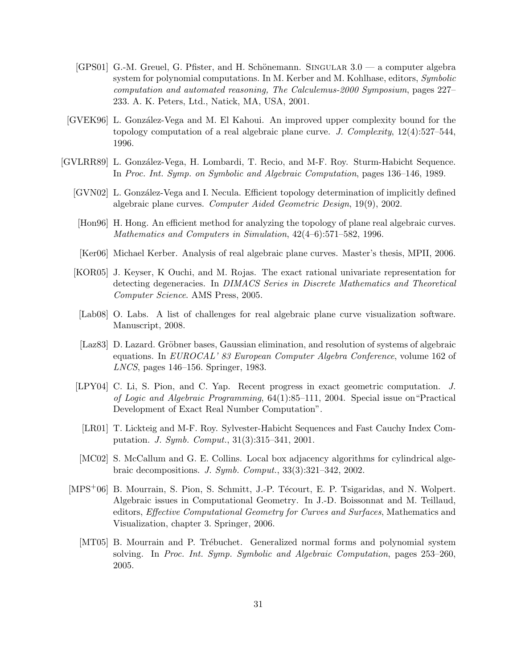- <span id="page-31-12"></span> $[GPS01]$  G.-M. Greuel, G. Pfister, and H. Schönemann. SINGULAR  $3.0 - a$  computer algebra system for polynomial computations. In M. Kerber and M. Kohlhase, editors, Symbolic computation and automated reasoning, The Calculemus-2000 Symposium, pages 227– 233. A. K. Peters, Ltd., Natick, MA, USA, 2001.
- <span id="page-31-0"></span>[GVEK96] L. González-Vega and M. El Kahoui. An improved upper complexity bound for the topology computation of a real algebraic plane curve. J. Complexity,  $12(4):527-544$ , 1996.
- <span id="page-31-13"></span><span id="page-31-11"></span><span id="page-31-10"></span><span id="page-31-9"></span><span id="page-31-8"></span><span id="page-31-7"></span><span id="page-31-6"></span><span id="page-31-5"></span><span id="page-31-4"></span><span id="page-31-3"></span><span id="page-31-2"></span><span id="page-31-1"></span>[GVLRR89] L. González-Vega, H. Lombardi, T. Recio, and M-F. Roy. Sturm-Habicht Sequence. In Proc. Int. Symp. on Symbolic and Algebraic Computation, pages 136–146, 1989.
	- [GVN02] L. Gonz´alez-Vega and I. Necula. Efficient topology determination of implicitly defined algebraic plane curves. Computer Aided Geometric Design, 19(9), 2002.
	- [Hon96] H. Hong. An efficient method for analyzing the topology of plane real algebraic curves. Mathematics and Computers in Simulation, 42(4–6):571–582, 1996.
	- [Ker06] Michael Kerber. Analysis of real algebraic plane curves. Master's thesis, MPII, 2006.
	- [KOR05] J. Keyser, K Ouchi, and M. Rojas. The exact rational univariate representation for detecting degeneracies. In DIMACS Series in Discrete Mathematics and Theoretical Computer Science. AMS Press, 2005.
	- [Lab08] O. Labs. A list of challenges for real algebraic plane curve visualization software. Manuscript, 2008.
	- [Laz83] D. Lazard. Gröbner bases, Gaussian elimination, and resolution of systems of algebraic equations. In EUROCAL' 83 European Computer Algebra Conference, volume 162 of LNCS, pages 146–156. Springer, 1983.
	- [LPY04] C. Li, S. Pion, and C. Yap. Recent progress in exact geometric computation. J. of Logic and Algebraic Programming, 64(1):85–111, 2004. Special issue on"Practical Development of Exact Real Number Computation".
	- [LR01] T. Lickteig and M-F. Roy. Sylvester-Habicht Sequences and Fast Cauchy Index Computation. J. Symb. Comput., 31(3):315–341, 2001.
	- [MC02] S. McCallum and G. E. Collins. Local box adjacency algorithms for cylindrical algebraic decompositions. J. Symb. Comput., 33(3):321–342, 2002.
	- [MPS<sup>+</sup>06] B. Mourrain, S. Pion, S. Schmitt, J.-P. Técourt, E. P. Tsigaridas, and N. Wolpert. Algebraic issues in Computational Geometry. In J.-D. Boissonnat and M. Teillaud, editors, Effective Computational Geometry for Curves and Surfaces, Mathematics and Visualization, chapter 3. Springer, 2006.
		- [MT05] B. Mourrain and P. Trébuchet. Generalized normal forms and polynomial system solving. In Proc. Int. Symp. Symbolic and Algebraic Computation, pages 253–260, 2005.